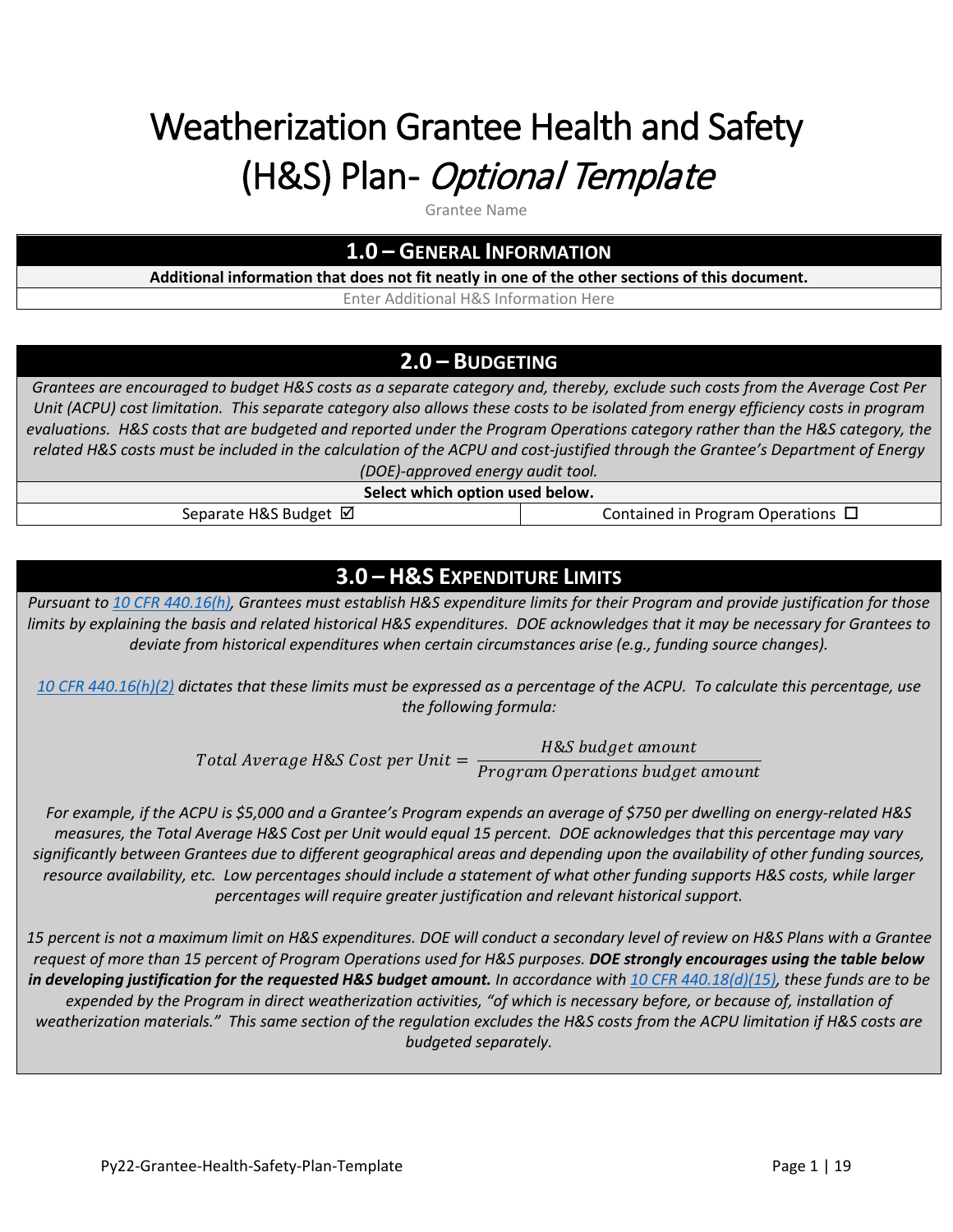# Weatherization Grantee Health and Safety (H&S) Plan- Optional Template

Grantee Name

## **1.0 – GENERAL INFORMATION**

**Additional information that does not fit neatly in one of the other sections of this document.**

Enter Additional H&S Information Here

## **2.0 – BUDGETING**

*Grantees are encouraged to budget H&S costs as a separate category and, thereby, exclude such costs from the Average Cost Per Unit (ACPU) cost limitation. This separate category also allows these costs to be isolated from energy efficiency costs in program evaluations. H&S costs that are budgeted and reported under the Program Operations category rather than the H&S category, the related H&S costs must be included in the calculation of the ACPU and cost-justified through the Grantee's Department of Energy (DOE)-approved energy audit tool.*

**Select which option used below.**

Separate H&S Budget  $\boxdot$   $\Box$   $\Box$  Contained in Program Operations  $\Box$ 

## **3.0 – H&S EXPENDITURE LIMITS**

*Pursuant to [10 CFR 440.16\(h\),](https://www.ecfr.gov/cgi-bin/text-idx?SID=f78e4ee30175d8063f1e1ce6eb728f94&mc=true&node=se10.3.440_116&rgn=div8) Grantees must establish H&S expenditure limits for their Program and provide justification for those limits by explaining the basis and related historical H&S expenditures. DOE acknowledges that it may be necessary for Grantees to deviate from historical expenditures when certain circumstances arise (e.g., funding source changes).* 

*[10 CFR 440.16\(h\)\(2\)](https://www.ecfr.gov/cgi-bin/text-idx?SID=f78e4ee30175d8063f1e1ce6eb728f94&mc=true&node=se10.3.440_116&rgn=div8) dictates that these limits must be expressed as a percentage of the ACPU. To calculate this percentage, use the following formula:*

> Total Average H&S Cost per Unit  $=$ H&S budget am Program Operations budget am

*For example, if the ACPU is \$5,000 and a Grantee's Program expends an average of \$750 per dwelling on energy-related H&S measures, the Total Average H&S Cost per Unit would equal 15 percent. DOE acknowledges that this percentage may vary significantly between Grantees due to different geographical areas and depending upon the availability of other funding sources, resource availability, etc. Low percentages should include a statement of what other funding supports H&S costs, while larger percentages will require greater justification and relevant historical support.*

*15 percent is not a maximum limit on H&S expenditures. DOE will conduct a secondary level of review on H&S Plans with a Grantee request of more than 15 percent of Program Operations used for H&S purposes. DOE strongly encourages using the table below in developing justification for the requested H&S budget amount. In accordance with [10 CFR 440.18\(d\)\(15\),](https://www.ecfr.gov/cgi-bin/text-idx?SID=f022d7020e1bf0a19a73d6edb7c32f62&mc=true&node=pt10.3.440&rgn=div5#se10.3.440_118) these funds are to be expended by the Program in direct weatherization activities, "of which is necessary before, or because of, installation of weatherization materials." This same section of the regulation excludes the H&S costs from the ACPU limitation if H&S costs are budgeted separately.*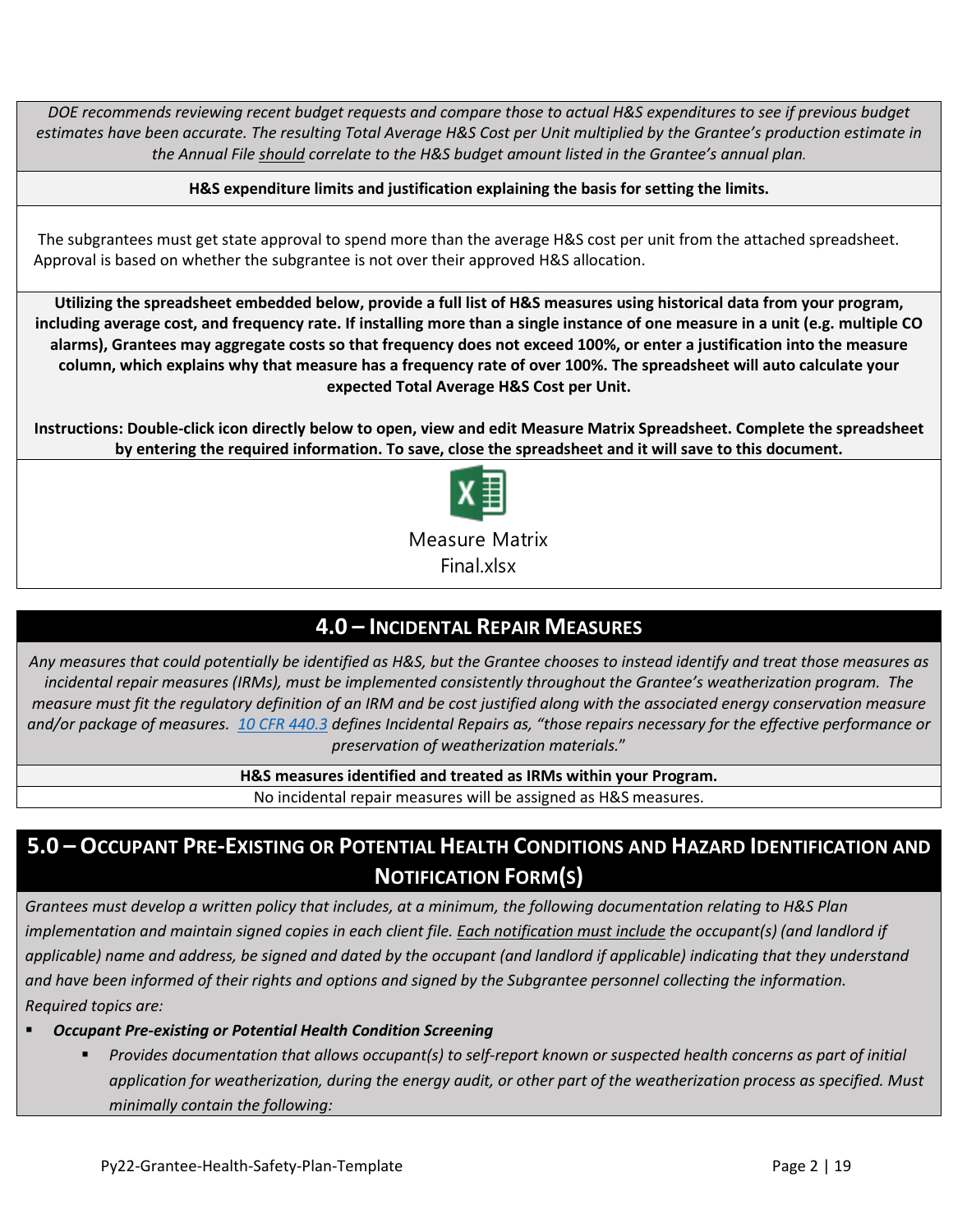*DOE recommends reviewing recent budget requests and compare those to actual H&S expenditures to see if previous budget estimates have been accurate. The resulting Total Average H&S Cost per Unit multiplied by the Grantee's production estimate in the Annual File should correlate to the H&S budget amount listed in the Grantee's annual plan.*

#### **H&S expenditure limits and justification explaining the basis for setting the limits.**

The subgrantees must get state approval to spend more than the average H&S cost per unit from the attached spreadsheet. Approval is based on whether the subgrantee is not over their approved H&S allocation.

**Utilizing the spreadsheet embedded below, provide a full list of H&S measures using historical data from your program, including average cost, and frequency rate. If installing more than a single instance of one measure in a unit (e.g. multiple CO alarms), Grantees may aggregate costs so that frequency does not exceed 100%, or enter a justification into the measure column, which explains why that measure has a frequency rate of over 100%. The spreadsheet will auto calculate your expected Total Average H&S Cost per Unit.** 

**Instructions: Double-click icon directly below to open, view and edit Measure Matrix Spreadsheet. Complete the spreadsheet by entering the required information. To save, close the spreadsheet and it will save to this document.**



Measure Matrix Final.xlsx

## **4.0 – INCIDENTAL REPAIR MEASURES**

*Any measures that could potentially be identified as H&S, but the Grantee chooses to instead identify and treat those measures as incidental repair measures (IRMs), must be implemented consistently throughout the Grantee's weatherization program. The measure must fit the regulatory definition of an IRM and be cost justified along with the associated energy conservation measure and/or package of measures. [10 CFR 440.3](https://www.ecfr.gov/cgi-bin/text-idx?SID=f022d7020e1bf0a19a73d6edb7c32f62&mc=true&node=pt10.3.440&rgn=div5#se10.3.440_13) defines Incidental Repairs as, "those repairs necessary for the effective performance or preservation of weatherization materials.*"

**H&S measures identified and treated as IRMs within your Program.** 

No incidental repair measures will be assigned as H&S measures.

# **5.0 – OCCUPANT PRE-EXISTING OR POTENTIAL HEALTH CONDITIONS AND HAZARD IDENTIFICATION AND NOTIFICATION FORM(S)**

*Grantees must develop a written policy that includes, at a minimum, the following documentation relating to H&S Plan implementation and maintain signed copies in each client file. Each notification must include the occupant(s) (and landlord if applicable) name and address, be signed and dated by the occupant (and landlord if applicable) indicating that they understand and have been informed of their rights and options and signed by the Subgrantee personnel collecting the information. Required topics are:*

- *Occupant Pre-existing or Potential Health Condition Screening* 
	- *Provides documentation that allows occupant(s) to self-report known or suspected health concerns as part of initial application for weatherization, during the energy audit, or other part of the weatherization process as specified. Must minimally contain the following:*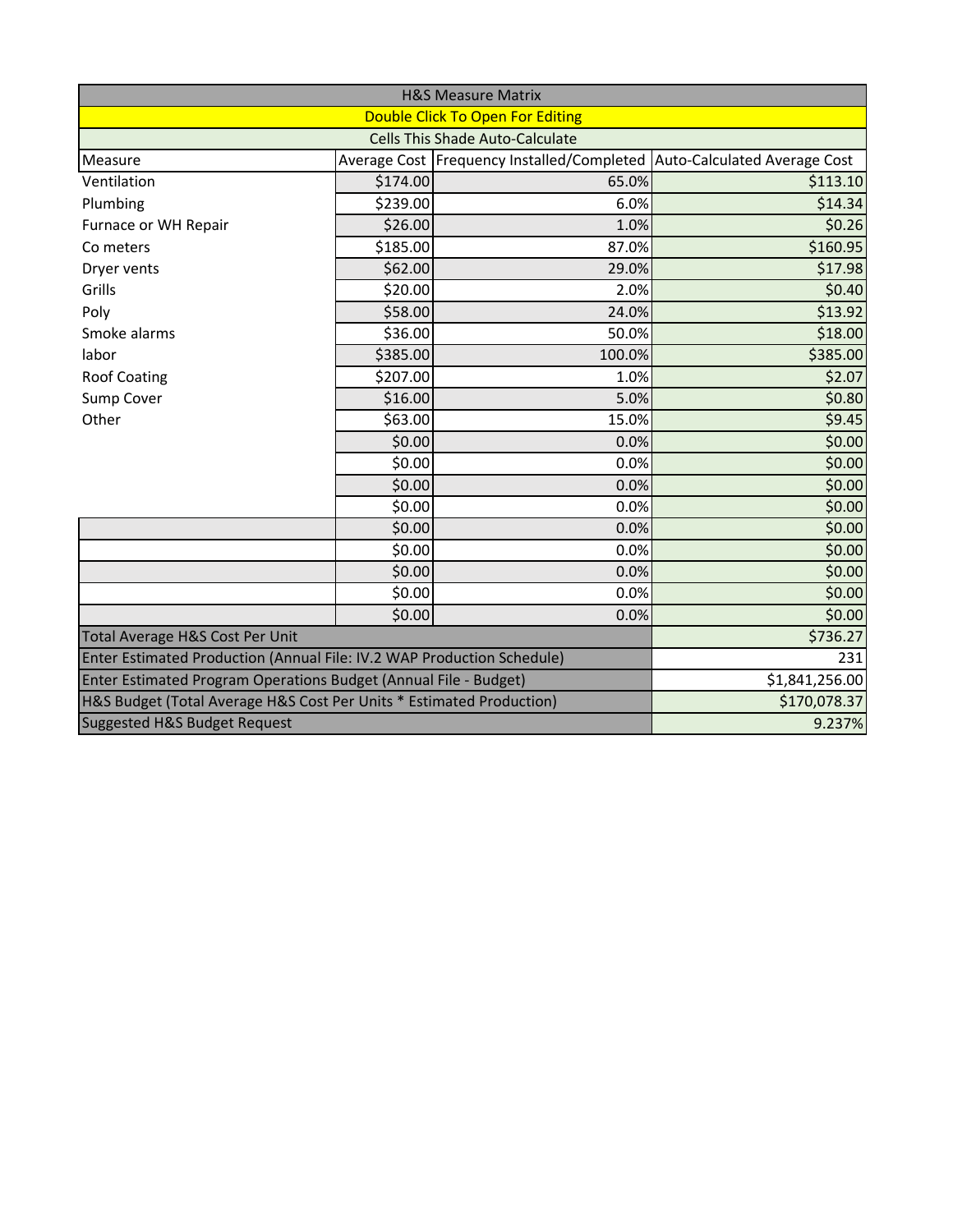| <b>H&amp;S Measure Matrix</b>                                          |          |                                                                             |                |  |
|------------------------------------------------------------------------|----------|-----------------------------------------------------------------------------|----------------|--|
| <b>Double Click To Open For Editing</b>                                |          |                                                                             |                |  |
|                                                                        |          | <b>Cells This Shade Auto-Calculate</b>                                      |                |  |
| Measure                                                                |          | Average Cost   Frequency Installed/Completed   Auto-Calculated Average Cost |                |  |
| Ventilation                                                            | \$174.00 | 65.0%                                                                       | \$113.10       |  |
| Plumbing                                                               | \$239.00 | 6.0%                                                                        | \$14.34        |  |
| Furnace or WH Repair                                                   | \$26.00  | 1.0%                                                                        | \$0.26         |  |
| Co meters                                                              | \$185.00 | 87.0%                                                                       | \$160.95       |  |
| Dryer vents                                                            | \$62.00  | 29.0%                                                                       | \$17.98        |  |
| Grills                                                                 | \$20.00  | 2.0%                                                                        | \$0.40         |  |
| Poly                                                                   | \$58.00  | 24.0%                                                                       | \$13.92        |  |
| Smoke alarms                                                           | \$36.00  | 50.0%                                                                       | \$18.00        |  |
| labor                                                                  | \$385.00 | 100.0%                                                                      | \$385.00       |  |
| <b>Roof Coating</b>                                                    | \$207.00 | 1.0%                                                                        | \$2.07         |  |
| Sump Cover                                                             | \$16.00  | 5.0%                                                                        | \$0.80         |  |
| Other                                                                  | \$63.00  | 15.0%                                                                       | \$9.45         |  |
|                                                                        | \$0.00   | 0.0%                                                                        | \$0.00         |  |
|                                                                        | \$0.00   | 0.0%                                                                        | \$0.00         |  |
|                                                                        | \$0.00   | 0.0%                                                                        | \$0.00         |  |
|                                                                        | \$0.00   | 0.0%                                                                        | \$0.00         |  |
|                                                                        | \$0.00   | 0.0%                                                                        | \$0.00         |  |
|                                                                        | \$0.00   | 0.0%                                                                        | \$0.00         |  |
|                                                                        | \$0.00   | 0.0%                                                                        | \$0.00         |  |
|                                                                        | \$0.00   | 0.0%                                                                        | \$0.00         |  |
|                                                                        | \$0.00   | 0.0%                                                                        | \$0.00         |  |
| Total Average H&S Cost Per Unit                                        |          |                                                                             | \$736.27       |  |
| Enter Estimated Production (Annual File: IV.2 WAP Production Schedule) |          |                                                                             | 231            |  |
| Enter Estimated Program Operations Budget (Annual File - Budget)       |          |                                                                             | \$1,841,256.00 |  |
| H&S Budget (Total Average H&S Cost Per Units * Estimated Production)   |          |                                                                             | \$170,078.37   |  |
| Suggested H&S Budget Request                                           |          |                                                                             | 9.237%         |  |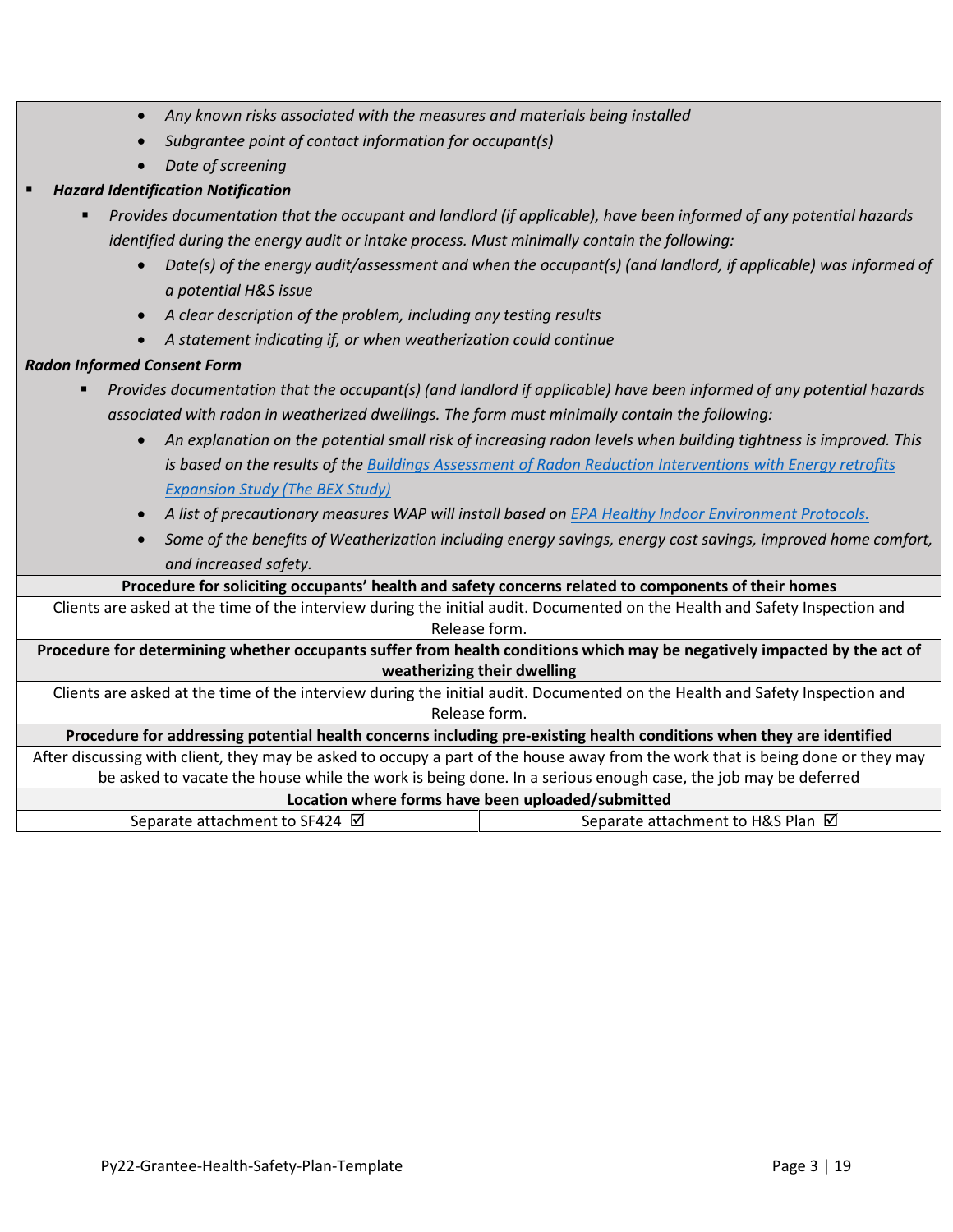- *Any known risks associated with the measures and materials being installed*
- *Subgrantee point of contact information for occupant(s)*
- *Date of screening*

### *Hazard Identification Notification*

- *Provides documentation that the occupant and landlord (if applicable), have been informed of any potential hazards identified during the energy audit or intake process. Must minimally contain the following:*
	- *Date(s) of the energy audit/assessment and when the occupant(s) (and landlord, if applicable) was informed of a potential H&S issue*
	- *A clear description of the problem, including any testing results*
	- *A statement indicating if, or when weatherization could continue*

#### *Radon Informed Consent Form*

- *Provides documentation that the occupant(s) (and landlord if applicable) have been informed of any potential hazards associated with radon in weatherized dwellings. The form must minimally contain the following:*
	- *An explanation on the potential small risk of increasing radon levels when building tightness is improved. This is based on the results of the [Buildings Assessment of Radon Reduction Interventions with Energy retrofits](https://weatherization.ornl.gov/wp-content/uploads/2021/01/ORNL-_TM-2020_1769.pdf)  [Expansion Study \(The BEX Study\)](https://weatherization.ornl.gov/wp-content/uploads/2021/01/ORNL-_TM-2020_1769.pdf)*
	- *A list of precautionary measures WAP will install based o[n EPA Healthy Indoor Environment Protocols.](https://www.epa.gov/sites/production/files/2014-12/documents/epa_retrofit_protocols.pdf)*
	- *Some of the benefits of Weatherization including energy savings, energy cost savings, improved home comfort, and increased safety.*

**Procedure for soliciting occupants' health and safety concerns related to components of their homes** 

Clients are asked at the time of the interview during the initial audit. Documented on the Health and Safety Inspection and Release form.

**Procedure for determining whether occupants suffer from health conditions which may be negatively impacted by the act of weatherizing their dwelling**

Clients are asked at the time of the interview during the initial audit. Documented on the Health and Safety Inspection and Release form.

**Procedure for addressing potential health concerns including pre-existing health conditions when they are identified** After discussing with client, they may be asked to occupy a part of the house away from the work that is being done or they may

| be asked to vacate the house while the work is being done. In a serious enough case, the job may be deferred |  |  |
|--------------------------------------------------------------------------------------------------------------|--|--|
| Location where forms have been uploaded/submitted                                                            |  |  |
| Separate attachment to H&S Plan $\boxtimes$<br>Separate attachment to SF424 $\boxtimes$                      |  |  |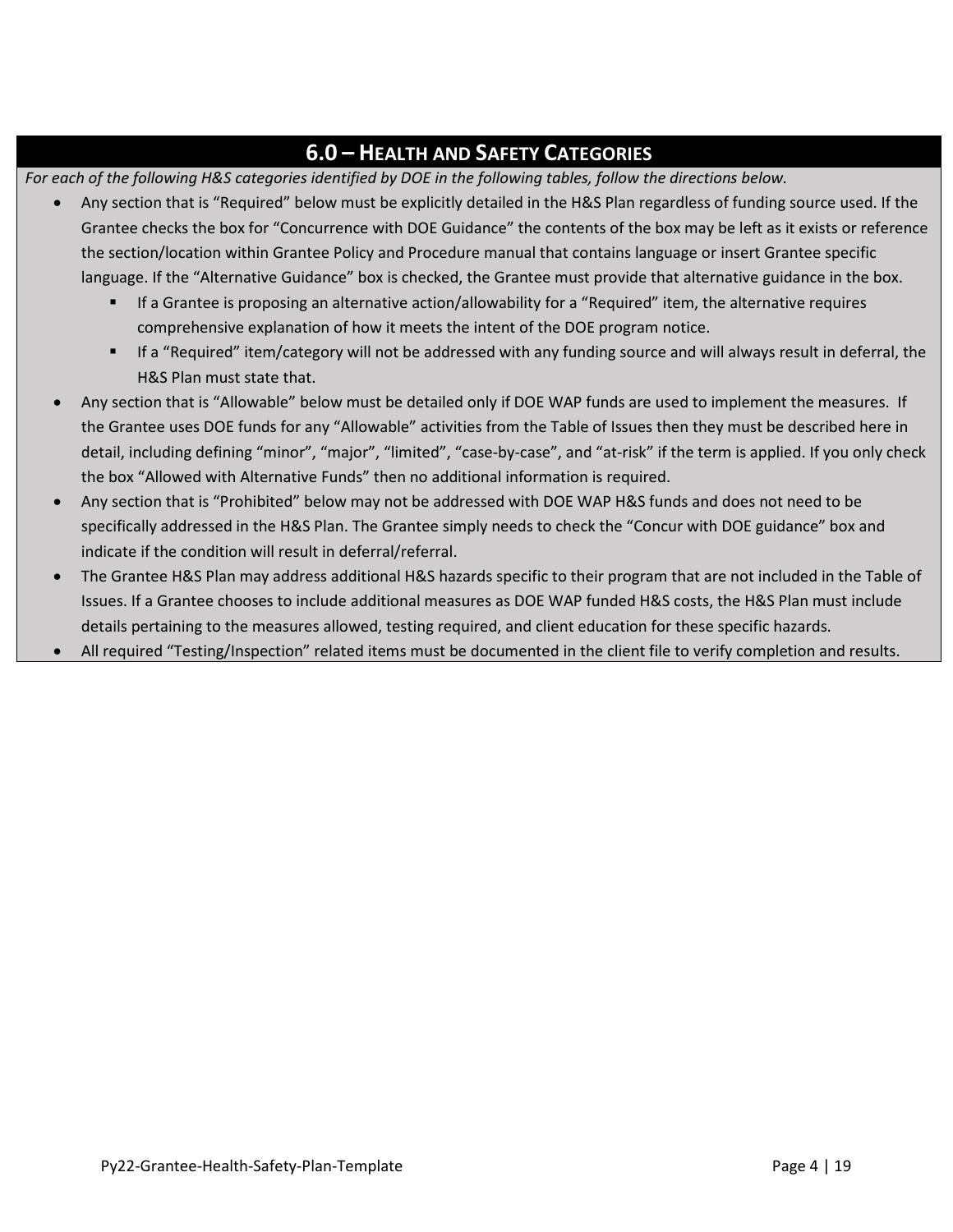## **6.0 – HEALTH AND SAFETY CATEGORIES**

*For each of the following H&S categories identified by DOE in the following tables, follow the directions below.*

- Any section that is "Required" below must be explicitly detailed in the H&S Plan regardless of funding source used. If the Grantee checks the box for "Concurrence with DOE Guidance" the contents of the box may be left as it exists or reference the section/location within Grantee Policy and Procedure manual that contains language or insert Grantee specific language. If the "Alternative Guidance" box is checked, the Grantee must provide that alternative guidance in the box.
	- If a Grantee is proposing an alternative action/allowability for a "Required" item, the alternative requires comprehensive explanation of how it meets the intent of the DOE program notice.
	- If a "Required" item/category will not be addressed with any funding source and will always result in deferral, the H&S Plan must state that.
- Any section that is "Allowable" below must be detailed only if DOE WAP funds are used to implement the measures. If the Grantee uses DOE funds for any "Allowable" activities from the Table of Issues then they must be described here in detail, including defining "minor", "major", "limited", "case-by-case", and "at-risk" if the term is applied. If you only check the box "Allowed with Alternative Funds" then no additional information is required.
- Any section that is "Prohibited" below may not be addressed with DOE WAP H&S funds and does not need to be specifically addressed in the H&S Plan. The Grantee simply needs to check the "Concur with DOE guidance" box and indicate if the condition will result in deferral/referral.
- The Grantee H&S Plan may address additional H&S hazards specific to their program that are not included in the Table of Issues. If a Grantee chooses to include additional measures as DOE WAP funded H&S costs, the H&S Plan must include details pertaining to the measures allowed, testing required, and client education for these specific hazards.
- All required "Testing/Inspection" related items must be documented in the client file to verify completion and results.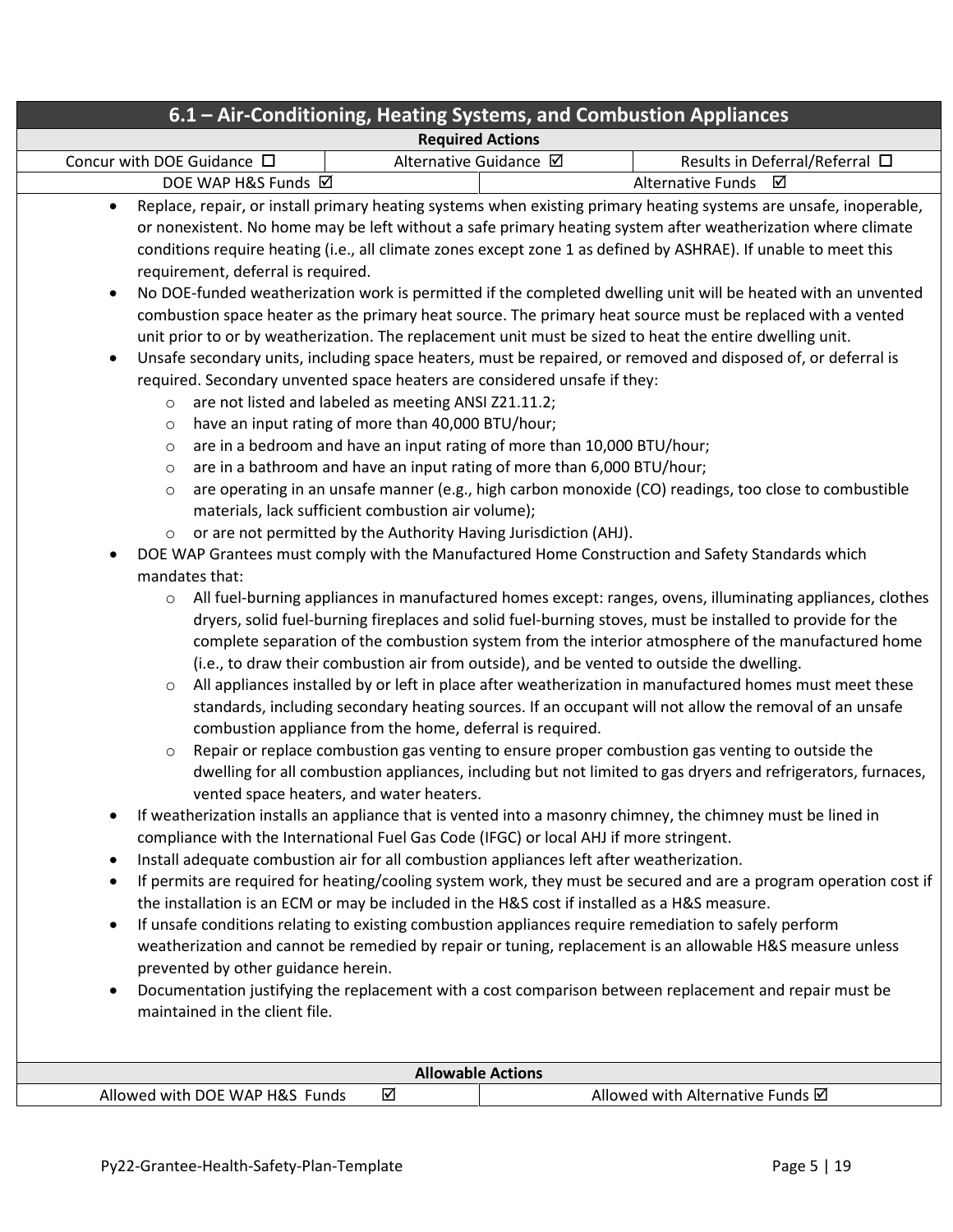# **6.1 – Air-Conditioning, Heating Systems, and Combustion Appliances**

| <b>Required Actions</b> |  |
|-------------------------|--|
|-------------------------|--|

| Concur with DOE Guidance $\Box$ | Alternative Guidance | Results in Deferral/Referral $\Box$ |
|---------------------------------|----------------------|-------------------------------------|
| DOE WAP H&S Funds $\boxtimes$   |                      | <b>Alternative Funds</b><br>₩       |

- Replace, repair, or install primary heating systems when existing primary heating systems are unsafe, inoperable, or nonexistent. No home may be left without a safe primary heating system after weatherization where climate conditions require heating (i.e., all climate zones except zone 1 as defined by ASHRAE). If unable to meet this requirement, deferral is required.
- No DOE-funded weatherization work is permitted if the completed dwelling unit will be heated with an unvented combustion space heater as the primary heat source. The primary heat source must be replaced with a vented unit prior to or by weatherization. The replacement unit must be sized to heat the entire dwelling unit.
- Unsafe secondary units, including space heaters, must be repaired, or removed and disposed of, or deferral is required. Secondary unvented space heaters are considered unsafe if they:
	- o are not listed and labeled as meeting ANSI Z21.11.2;
	- o have an input rating of more than 40,000 BTU/hour;
	- $\circ$  are in a bedroom and have an input rating of more than 10,000 BTU/hour;
	- $\circ$  are in a bathroom and have an input rating of more than 6,000 BTU/hour;
	- $\circ$  are operating in an unsafe manner (e.g., high carbon monoxide (CO) readings, too close to combustible materials, lack sufficient combustion air volume);
	- o or are not permitted by the Authority Having Jurisdiction (AHJ).
- DOE WAP Grantees must comply with the Manufactured Home Construction and Safety Standards which mandates that:
	- o All fuel-burning appliances in manufactured homes except: ranges, ovens, illuminating appliances, clothes dryers, solid fuel-burning fireplaces and solid fuel-burning stoves, must be installed to provide for the complete separation of the combustion system from the interior atmosphere of the manufactured home (i.e., to draw their combustion air from outside), and be vented to outside the dwelling.
	- $\circ$  All appliances installed by or left in place after weatherization in manufactured homes must meet these standards, including secondary heating sources. If an occupant will not allow the removal of an unsafe combustion appliance from the home, deferral is required.
	- $\circ$  Repair or replace combustion gas venting to ensure proper combustion gas venting to outside the dwelling for all combustion appliances, including but not limited to gas dryers and refrigerators, furnaces, vented space heaters, and water heaters.
- If weatherization installs an appliance that is vented into a masonry chimney, the chimney must be lined in compliance with the International Fuel Gas Code (IFGC) or local AHJ if more stringent.
- Install adequate combustion air for all combustion appliances left after weatherization.
- If permits are required for heating/cooling system work, they must be secured and are a program operation cost if the installation is an ECM or may be included in the H&S cost if installed as a H&S measure.
- If unsafe conditions relating to existing combustion appliances require remediation to safely perform weatherization and cannot be remedied by repair or tuning, replacement is an allowable H&S measure unless prevented by other guidance herein.
- Documentation justifying the replacement with a cost comparison between replacement and repair must be maintained in the client file.

| <b>Allowable Actions</b>               |  |                                          |  |
|----------------------------------------|--|------------------------------------------|--|
| Allowed with<br>. DOE WAP H&S<br>Funds |  | Allowed with<br>Alternative<br>. Funds ⊠ |  |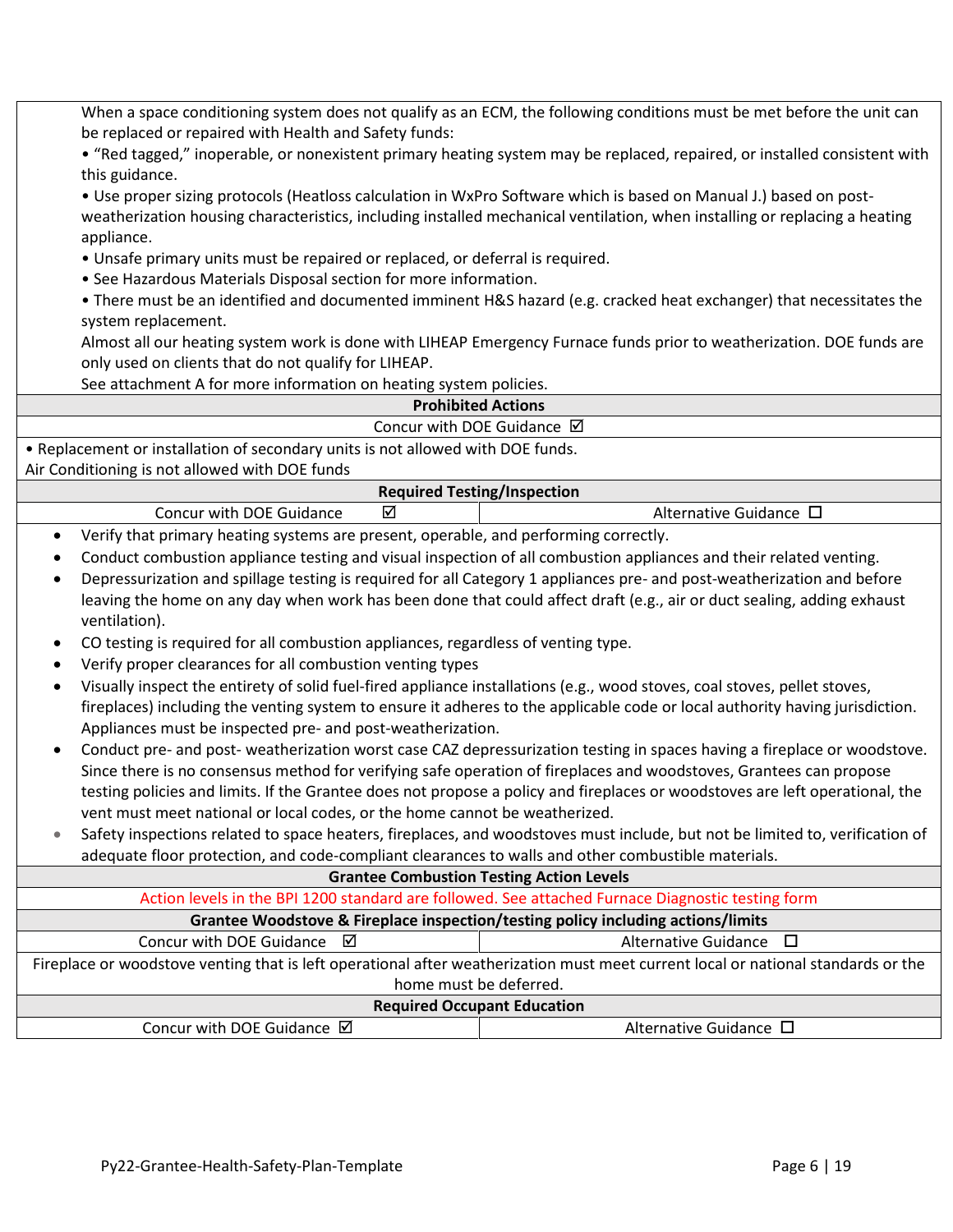When a space conditioning system does not qualify as an ECM, the following conditions must be met before the unit can be replaced or repaired with Health and Safety funds:

• "Red tagged," inoperable, or nonexistent primary heating system may be replaced, repaired, or installed consistent with this guidance.

• Use proper sizing protocols (Heatloss calculation in WxPro Software which is based on Manual J.) based on postweatherization housing characteristics, including installed mechanical ventilation, when installing or replacing a heating appliance.

• Unsafe primary units must be repaired or replaced, or deferral is required.

• See Hazardous Materials Disposal section for more information.

• There must be an identified and documented imminent H&S hazard (e.g. cracked heat exchanger) that necessitates the system replacement.

Almost all our heating system work is done with LIHEAP Emergency Furnace funds prior to weatherization. DOE funds are only used on clients that do not qualify for LIHEAP.

See attachment A for more information on heating system policies.

|  | <b>Prohibited Actions</b> |  |
|--|---------------------------|--|
|  |                           |  |

Concur with DOE Guidance  $\boxtimes$ • Replacement or installation of secondary units is not allowed with DOE funds. Air Conditioning is not allowed with DOE funds

|                                 |   | <b>Required Testing/Inspection</b> |
|---------------------------------|---|------------------------------------|
| <b>Concur with DOE Guidance</b> | ☑ | ternative Guidance ∟               |
|                                 |   |                                    |

• Verify that primary heating systems are present, operable, and performing correctly.

- Conduct combustion appliance testing and visual inspection of all combustion appliances and their related venting.
- Depressurization and spillage testing is required for all Category 1 appliances pre- and post-weatherization and before leaving the home on any day when work has been done that could affect draft (e.g., air or duct sealing, adding exhaust ventilation).
- CO testing is required for all combustion appliances, regardless of venting type.
- Verify proper clearances for all combustion venting types
- Visually inspect the entirety of solid fuel-fired appliance installations (e.g., wood stoves, coal stoves, pellet stoves, fireplaces) including the venting system to ensure it adheres to the applicable code or local authority having jurisdiction. Appliances must be inspected pre- and post-weatherization.
- Conduct pre- and post- weatherization worst case CAZ depressurization testing in spaces having a fireplace or woodstove. Since there is no consensus method for verifying safe operation of fireplaces and woodstoves, Grantees can propose testing policies and limits. If the Grantee does not propose a policy and fireplaces or woodstoves are left operational, the vent must meet national or local codes, or the home cannot be weatherized.
- Safety inspections related to space heaters, fireplaces, and woodstoves must include, but not be limited to, verification of adequate floor protection, and code-compliant clearances to walls and other combustible materials.

| <b>Grantee Combustion Testing Action Levels</b>                                                                                   |  |  |  |
|-----------------------------------------------------------------------------------------------------------------------------------|--|--|--|
| Action levels in the BPI 1200 standard are followed. See attached Furnace Diagnostic testing form                                 |  |  |  |
| Grantee Woodstove & Fireplace inspection/testing policy including actions/limits                                                  |  |  |  |
| Concur with DOE Guidance <b>Ø</b><br>Alternative Guidance $\Box$                                                                  |  |  |  |
| Fireplace or woodstove venting that is left operational after weatherization must meet current local or national standards or the |  |  |  |
| home must be deferred.                                                                                                            |  |  |  |
| <b>Required Occupant Education</b>                                                                                                |  |  |  |
| Concur with DOE Guidance $\boxtimes$<br>Alternative Guidance $\Box$                                                               |  |  |  |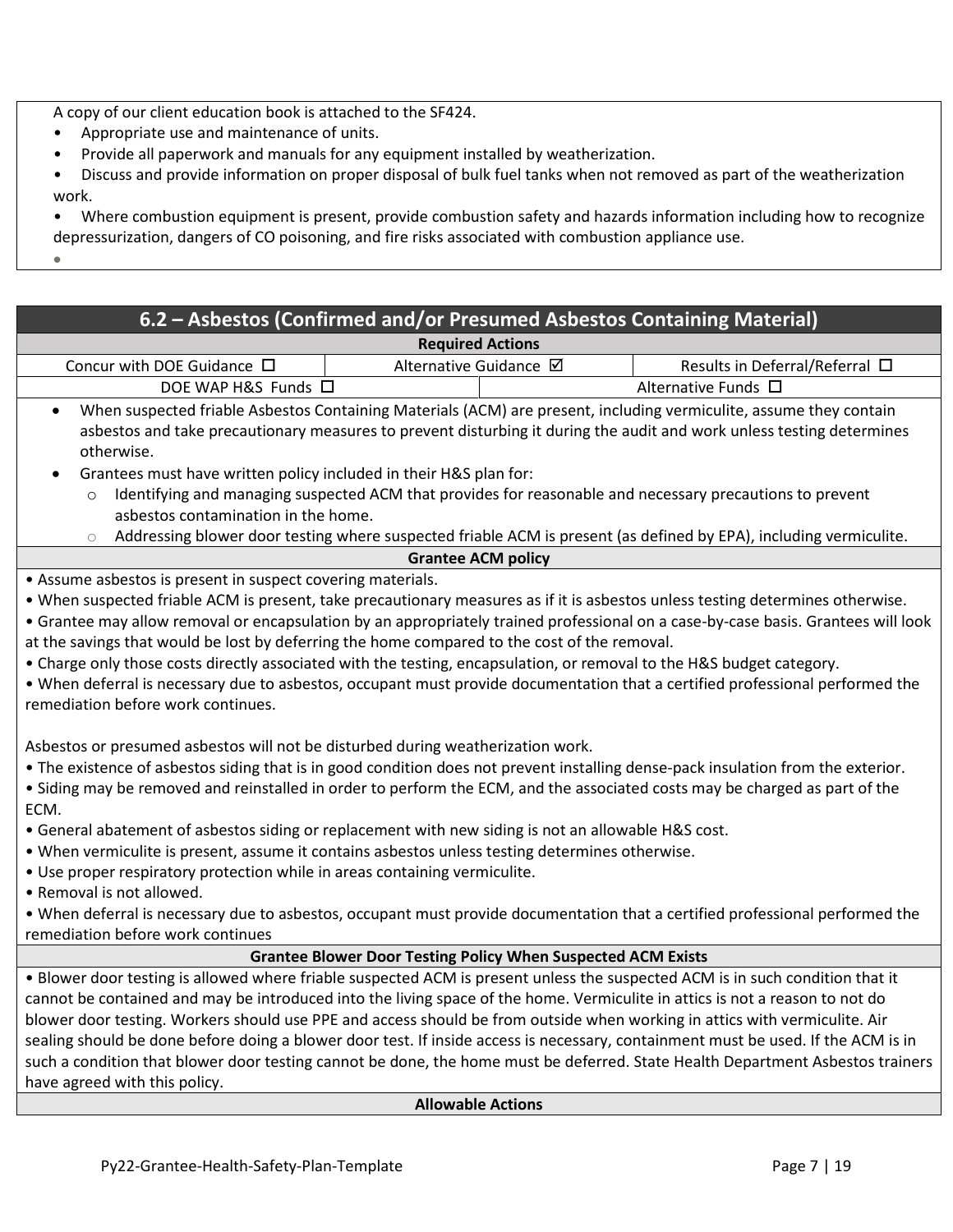A copy of our client education book is attached to the SF424.

- Appropriate use and maintenance of units.
- Provide all paperwork and manuals for any equipment installed by weatherization.

• Discuss and provide information on proper disposal of bulk fuel tanks when not removed as part of the weatherization work.

• Where combustion equipment is present, provide combustion safety and hazards information including how to recognize depressurization, dangers of CO poisoning, and fire risks associated with combustion appliance use.

•

| 6.2 - Asbestos (Confirmed and/or Presumed Asbestos Containing Material)                                                                                                                                                                     |                        |  |                                     |
|---------------------------------------------------------------------------------------------------------------------------------------------------------------------------------------------------------------------------------------------|------------------------|--|-------------------------------------|
| <b>Required Actions</b>                                                                                                                                                                                                                     |                        |  |                                     |
| Concur with DOE Guidance $\Box$                                                                                                                                                                                                             | Alternative Guidance Ø |  | Results in Deferral/Referral $\Box$ |
| DOE WAP H&S Funds □<br>Alternative Funds $\square$                                                                                                                                                                                          |                        |  |                                     |
| When suspected friable Asbestos Containing Materials (ACM) are present, including vermiculite, assume they contain<br>asbestos and take precautionary measures to prevent disturbing it during the audit and work unless testing determines |                        |  |                                     |

- otherwise. • Grantees must have written policy included in their H&S plan for:
	- o Identifying and managing suspected ACM that provides for reasonable and necessary precautions to prevent asbestos contamination in the home.
	- o Addressing blower door testing where suspected friable ACM is present (as defined by EPA), including vermiculite.

#### **Grantee ACM policy**

• Assume asbestos is present in suspect covering materials.

• When suspected friable ACM is present, take precautionary measures as if it is asbestos unless testing determines otherwise.

- Grantee may allow removal or encapsulation by an appropriately trained professional on a case-by-case basis. Grantees will look at the savings that would be lost by deferring the home compared to the cost of the removal.
- Charge only those costs directly associated with the testing, encapsulation, or removal to the H&S budget category.

• When deferral is necessary due to asbestos, occupant must provide documentation that a certified professional performed the remediation before work continues.

Asbestos or presumed asbestos will not be disturbed during weatherization work.

• Τhe existence of asbestos siding that is in good condition does not prevent installing dense-pack insulation from the exterior.

• Siding may be removed and reinstalled in order to perform the ECM, and the associated costs may be charged as part of the ECM.

- General abatement of asbestos siding or replacement with new siding is not an allowable H&S cost.
- When vermiculite is present, assume it contains asbestos unless testing determines otherwise.
- Use proper respiratory protection while in areas containing vermiculite.
- Removal is not allowed.

• When deferral is necessary due to asbestos, occupant must provide documentation that a certified professional performed the remediation before work continues

#### **Grantee Blower Door Testing Policy When Suspected ACM Exists**

• Blower door testing is allowed where friable suspected ACM is present unless the suspected ACM is in such condition that it cannot be contained and may be introduced into the living space of the home. Vermiculite in attics is not a reason to not do blower door testing. Workers should use PPE and access should be from outside when working in attics with vermiculite. Air sealing should be done before doing a blower door test. If inside access is necessary, containment must be used. If the ACM is in such a condition that blower door testing cannot be done, the home must be deferred. State Health Department Asbestos trainers have agreed with this policy.

#### **Allowable Actions**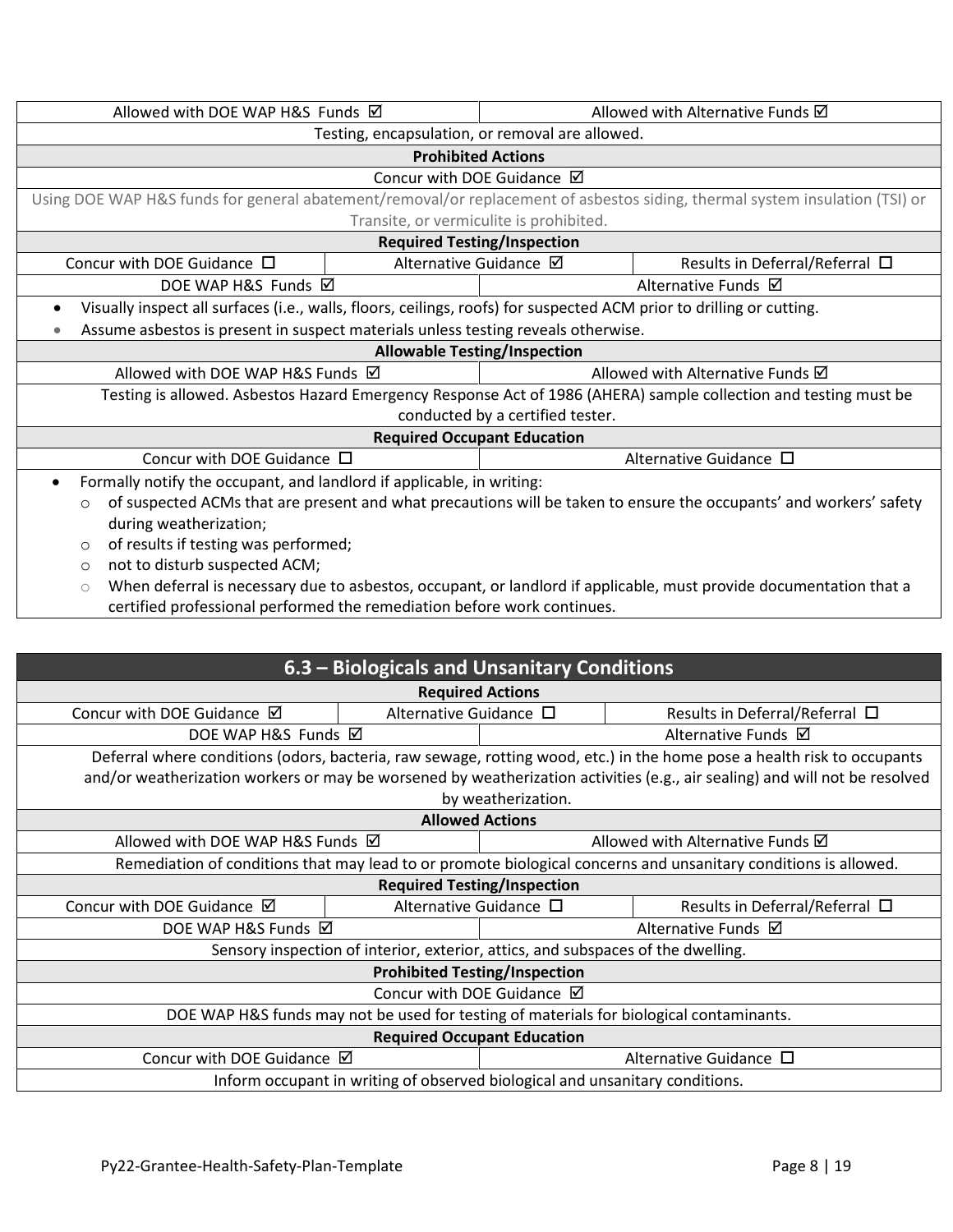| Allowed with DOE WAP H&S Funds ⊠                                                                                                  |  |                                         | Allowed with Alternative Funds $\boxtimes$ |
|-----------------------------------------------------------------------------------------------------------------------------------|--|-----------------------------------------|--------------------------------------------|
| Testing, encapsulation, or removal are allowed.                                                                                   |  |                                         |                                            |
|                                                                                                                                   |  | <b>Prohibited Actions</b>               |                                            |
|                                                                                                                                   |  | Concur with DOE Guidance $\boxtimes$    |                                            |
| Using DOE WAP H&S funds for general abatement/removal/or replacement of asbestos siding, thermal system insulation (TSI) or       |  |                                         |                                            |
|                                                                                                                                   |  | Transite, or vermiculite is prohibited. |                                            |
|                                                                                                                                   |  | <b>Required Testing/Inspection</b>      |                                            |
| Concur with DOE Guidance $\Box$                                                                                                   |  | Alternative Guidance Ø                  | Results in Deferral/Referral $\Box$        |
| DOE WAP H&S Funds Ø                                                                                                               |  |                                         | Alternative Funds Ø                        |
| Visually inspect all surfaces (i.e., walls, floors, ceilings, roofs) for suspected ACM prior to drilling or cutting.<br>$\bullet$ |  |                                         |                                            |
| Assume asbestos is present in suspect materials unless testing reveals otherwise.<br>$\bullet$                                    |  |                                         |                                            |
|                                                                                                                                   |  | <b>Allowable Testing/Inspection</b>     |                                            |
| Allowed with DOE WAP H&S Funds Ø                                                                                                  |  |                                         | Allowed with Alternative Funds Ø           |
| Testing is allowed. Asbestos Hazard Emergency Response Act of 1986 (AHERA) sample collection and testing must be                  |  |                                         |                                            |
| conducted by a certified tester.                                                                                                  |  |                                         |                                            |
| <b>Required Occupant Education</b>                                                                                                |  |                                         |                                            |
| Concur with DOE Guidance $\Box$<br>Alternative Guidance $\Box$                                                                    |  |                                         |                                            |
| Formally notify the occupant, and landlord if applicable, in writing:<br>$\bullet$                                                |  |                                         |                                            |
| of suspected ACMs that are present and what precautions will be taken to ensure the occupants' and workers' safety<br>$\circ$     |  |                                         |                                            |
| during weatherization;                                                                                                            |  |                                         |                                            |
| of results if testing was performed;<br>$\circ$                                                                                   |  |                                         |                                            |

o not to disturb suspected ACM;

o When deferral is necessary due to asbestos, occupant, or landlord if applicable, must provide documentation that a certified professional performed the remediation before work continues.

| 6.3 – Biologicals and Unsanitary Conditions                                             |                                                                                  |                        |                                                                                                                            |  |
|-----------------------------------------------------------------------------------------|----------------------------------------------------------------------------------|------------------------|----------------------------------------------------------------------------------------------------------------------------|--|
|                                                                                         | <b>Required Actions</b>                                                          |                        |                                                                                                                            |  |
| Concur with DOE Guidance $\boxtimes$                                                    | Alternative Guidance □                                                           |                        | Results in Deferral/Referral $\Box$                                                                                        |  |
| DOE WAP H&S Funds Ø                                                                     |                                                                                  |                        | Alternative Funds $\boxtimes$                                                                                              |  |
|                                                                                         |                                                                                  |                        | Deferral where conditions (odors, bacteria, raw sewage, rotting wood, etc.) in the home pose a health risk to occupants    |  |
|                                                                                         |                                                                                  |                        | and/or weatherization workers or may be worsened by weatherization activities (e.g., air sealing) and will not be resolved |  |
|                                                                                         |                                                                                  | by weatherization.     |                                                                                                                            |  |
|                                                                                         |                                                                                  | <b>Allowed Actions</b> |                                                                                                                            |  |
| Allowed with DOE WAP H&S Funds ⊠                                                        |                                                                                  |                        | Allowed with Alternative Funds $\boxtimes$                                                                                 |  |
|                                                                                         |                                                                                  |                        | Remediation of conditions that may lead to or promote biological concerns and unsanitary conditions is allowed.            |  |
| <b>Required Testing/Inspection</b>                                                      |                                                                                  |                        |                                                                                                                            |  |
| Concur with DOE Guidance $\boxtimes$                                                    | Alternative Guidance $\Box$                                                      |                        | Results in Deferral/Referral $\Box$                                                                                        |  |
| DOE WAP H&S Funds ⊠                                                                     | Alternative Funds ⊠                                                              |                        |                                                                                                                            |  |
|                                                                                         | Sensory inspection of interior, exterior, attics, and subspaces of the dwelling. |                        |                                                                                                                            |  |
| <b>Prohibited Testing/Inspection</b>                                                    |                                                                                  |                        |                                                                                                                            |  |
| Concur with DOE Guidance Ø                                                              |                                                                                  |                        |                                                                                                                            |  |
| DOE WAP H&S funds may not be used for testing of materials for biological contaminants. |                                                                                  |                        |                                                                                                                            |  |
| <b>Required Occupant Education</b>                                                      |                                                                                  |                        |                                                                                                                            |  |
|                                                                                         | Concur with DOE Guidance Ø<br>Alternative Guidance $\Box$                        |                        |                                                                                                                            |  |
| Inform occupant in writing of observed biological and unsanitary conditions.            |                                                                                  |                        |                                                                                                                            |  |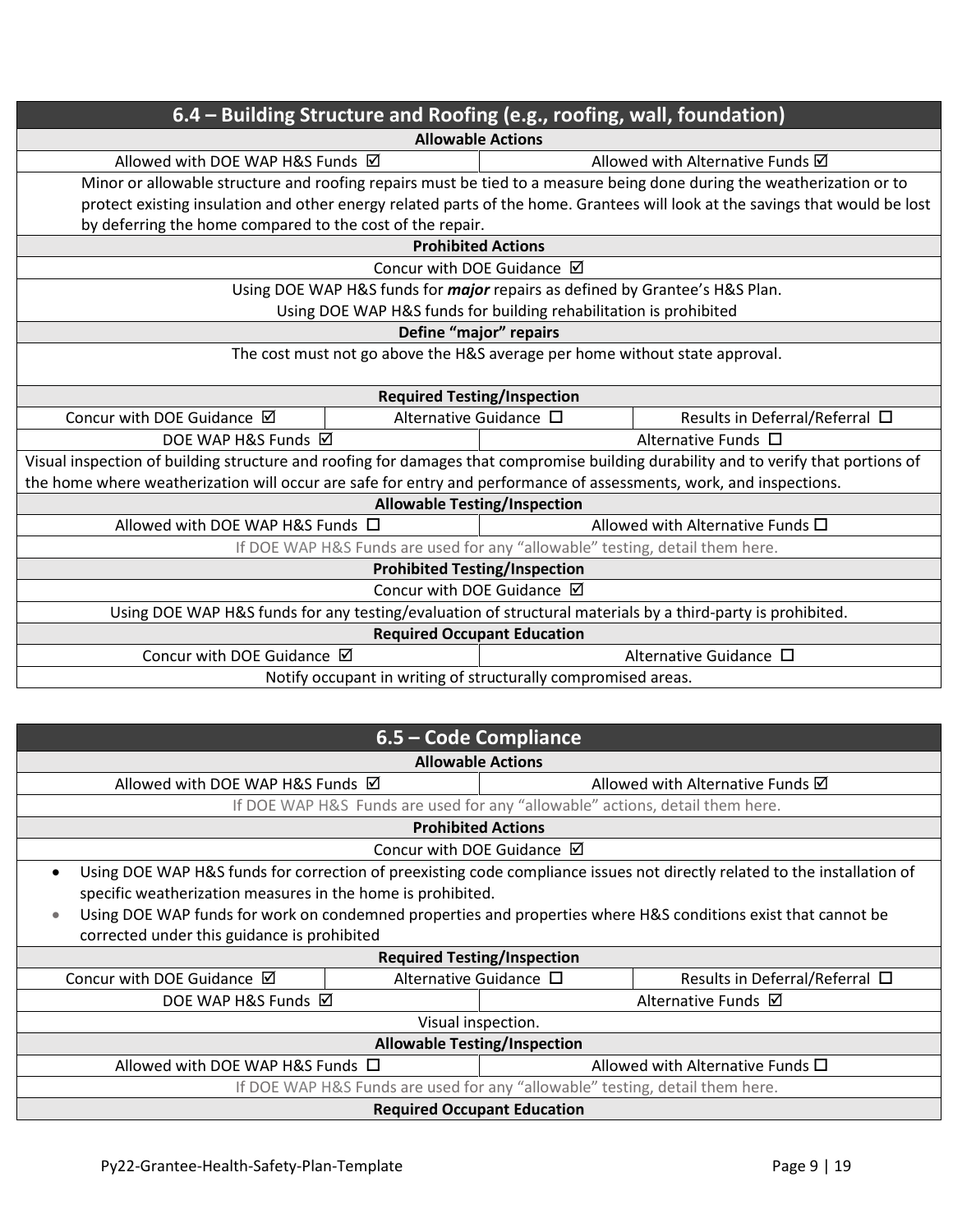| 6.4 – Building Structure and Roofing (e.g., roofing, wall, foundation)                                                             |                                                                                                                    |                                  |  |
|------------------------------------------------------------------------------------------------------------------------------------|--------------------------------------------------------------------------------------------------------------------|----------------------------------|--|
|                                                                                                                                    | <b>Allowable Actions</b>                                                                                           |                                  |  |
| Allowed with DOE WAP H&S Funds Ø                                                                                                   |                                                                                                                    | Allowed with Alternative Funds Ø |  |
| Minor or allowable structure and roofing repairs must be tied to a measure being done during the weatherization or to              |                                                                                                                    |                                  |  |
| protect existing insulation and other energy related parts of the home. Grantees will look at the savings that would be lost       |                                                                                                                    |                                  |  |
| by deferring the home compared to the cost of the repair.                                                                          |                                                                                                                    |                                  |  |
|                                                                                                                                    | <b>Prohibited Actions</b>                                                                                          |                                  |  |
|                                                                                                                                    | Concur with DOE Guidance $\boxtimes$                                                                               |                                  |  |
| Using DOE WAP H&S funds for <i>major</i> repairs as defined by Grantee's H&S Plan.                                                 |                                                                                                                    |                                  |  |
| Using DOE WAP H&S funds for building rehabilitation is prohibited                                                                  |                                                                                                                    |                                  |  |
|                                                                                                                                    | Define "major" repairs                                                                                             |                                  |  |
| The cost must not go above the H&S average per home without state approval.                                                        |                                                                                                                    |                                  |  |
|                                                                                                                                    |                                                                                                                    |                                  |  |
|                                                                                                                                    | <b>Required Testing/Inspection</b>                                                                                 |                                  |  |
| Concur with DOE Guidance Ø                                                                                                         | Alternative Guidance □                                                                                             | Results in Deferral/Referral □   |  |
| Alternative Funds □<br>DOE WAP H&S Funds Ø                                                                                         |                                                                                                                    |                                  |  |
| Visual inspection of building structure and roofing for damages that compromise building durability and to verify that portions of |                                                                                                                    |                                  |  |
|                                                                                                                                    | the home where weatherization will occur are safe for entry and performance of assessments, work, and inspections. |                                  |  |
| <b>Allowable Testing/Inspection</b>                                                                                                |                                                                                                                    |                                  |  |
| Allowed with DOE WAP H&S Funds □<br>Allowed with Alternative Funds $\square$                                                       |                                                                                                                    |                                  |  |
| If DOE WAP H&S Funds are used for any "allowable" testing, detail them here.                                                       |                                                                                                                    |                                  |  |
| <b>Prohibited Testing/Inspection</b>                                                                                               |                                                                                                                    |                                  |  |
| Concur with DOE Guidance Ø                                                                                                         |                                                                                                                    |                                  |  |
| Using DOE WAP H&S funds for any testing/evaluation of structural materials by a third-party is prohibited.                         |                                                                                                                    |                                  |  |
| <b>Required Occupant Education</b>                                                                                                 |                                                                                                                    |                                  |  |
| Concur with DOE Guidance Ø<br>Alternative Guidance □                                                                               |                                                                                                                    |                                  |  |
| Notify occupant in writing of structurally compromised areas.                                                                      |                                                                                                                    |                                  |  |

| 6.5 – Code Compliance                                                        |                                                                      |                                                                              |                                                                                                                          |  |  |
|------------------------------------------------------------------------------|----------------------------------------------------------------------|------------------------------------------------------------------------------|--------------------------------------------------------------------------------------------------------------------------|--|--|
|                                                                              | <b>Allowable Actions</b>                                             |                                                                              |                                                                                                                          |  |  |
|                                                                              | Allowed with Alternative Funds Ø<br>Allowed with DOE WAP H&S Funds ⊠ |                                                                              |                                                                                                                          |  |  |
|                                                                              |                                                                      | If DOE WAP H&S Funds are used for any "allowable" actions, detail them here. |                                                                                                                          |  |  |
|                                                                              |                                                                      | <b>Prohibited Actions</b>                                                    |                                                                                                                          |  |  |
|                                                                              |                                                                      | Concur with DOE Guidance $\boxtimes$                                         |                                                                                                                          |  |  |
| $\bullet$                                                                    |                                                                      |                                                                              | Using DOE WAP H&S funds for correction of preexisting code compliance issues not directly related to the installation of |  |  |
| specific weatherization measures in the home is prohibited.                  |                                                                      |                                                                              |                                                                                                                          |  |  |
| $\bullet$                                                                    |                                                                      |                                                                              | Using DOE WAP funds for work on condemned properties and properties where H&S conditions exist that cannot be            |  |  |
| corrected under this guidance is prohibited                                  |                                                                      |                                                                              |                                                                                                                          |  |  |
|                                                                              |                                                                      | <b>Required Testing/Inspection</b>                                           |                                                                                                                          |  |  |
| Concur with DOE Guidance $\boxtimes$                                         | Alternative Guidance $\Box$                                          |                                                                              | Results in Deferral/Referral $\Box$                                                                                      |  |  |
|                                                                              | Alternative Funds ⊠<br>DOE WAP H&S Funds ⊠                           |                                                                              |                                                                                                                          |  |  |
| Visual inspection.                                                           |                                                                      |                                                                              |                                                                                                                          |  |  |
| <b>Allowable Testing/Inspection</b>                                          |                                                                      |                                                                              |                                                                                                                          |  |  |
| Allowed with DOE WAP H&S Funds □<br>Allowed with Alternative Funds $\square$ |                                                                      |                                                                              |                                                                                                                          |  |  |
| If DOE WAP H&S Funds are used for any "allowable" testing, detail them here. |                                                                      |                                                                              |                                                                                                                          |  |  |
| <b>Required Occupant Education</b>                                           |                                                                      |                                                                              |                                                                                                                          |  |  |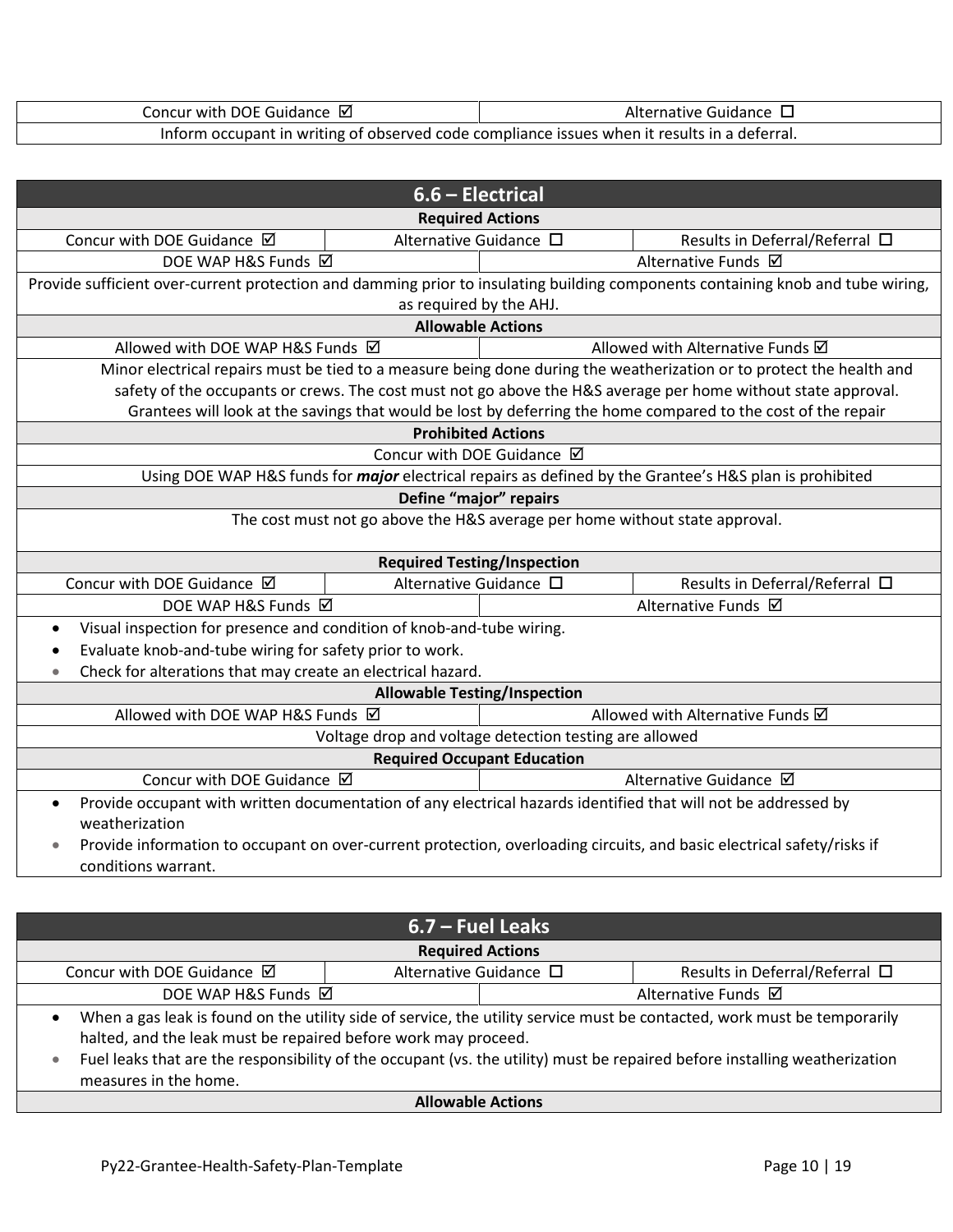| Concur with DOE Guidance $\boxtimes$                                                         | Alternative Guidance L |  |  |
|----------------------------------------------------------------------------------------------|------------------------|--|--|
| Inform occupant in writing of observed code compliance issues when it results in a deferral. |                        |  |  |

| 6.6 - Electrical                                                                                                                                   |                                                                             |                                    |                                                                                                                      |  |
|----------------------------------------------------------------------------------------------------------------------------------------------------|-----------------------------------------------------------------------------|------------------------------------|----------------------------------------------------------------------------------------------------------------------|--|
|                                                                                                                                                    |                                                                             | <b>Required Actions</b>            |                                                                                                                      |  |
| Concur with DOE Guidance Ø                                                                                                                         | Alternative Guidance □                                                      |                                    | Results in Deferral/Referral □                                                                                       |  |
| DOE WAP H&S Funds D                                                                                                                                |                                                                             |                                    | Alternative Funds Ø                                                                                                  |  |
| Provide sufficient over-current protection and damming prior to insulating building components containing knob and tube wiring,                    |                                                                             |                                    |                                                                                                                      |  |
|                                                                                                                                                    |                                                                             | as required by the AHJ.            |                                                                                                                      |  |
|                                                                                                                                                    |                                                                             | <b>Allowable Actions</b>           |                                                                                                                      |  |
| Allowed with DOE WAP H&S Funds ⊠                                                                                                                   |                                                                             |                                    | Allowed with Alternative Funds Ø                                                                                     |  |
|                                                                                                                                                    |                                                                             |                                    | Minor electrical repairs must be tied to a measure being done during the weatherization or to protect the health and |  |
|                                                                                                                                                    |                                                                             |                                    | safety of the occupants or crews. The cost must not go above the H&S average per home without state approval.        |  |
|                                                                                                                                                    |                                                                             |                                    | Grantees will look at the savings that would be lost by deferring the home compared to the cost of the repair        |  |
|                                                                                                                                                    | <b>Prohibited Actions</b>                                                   |                                    |                                                                                                                      |  |
|                                                                                                                                                    | Concur with DOE Guidance Ø                                                  |                                    |                                                                                                                      |  |
|                                                                                                                                                    |                                                                             |                                    | Using DOE WAP H&S funds for <i>major</i> electrical repairs as defined by the Grantee's H&S plan is prohibited       |  |
|                                                                                                                                                    |                                                                             | Define "major" repairs             |                                                                                                                      |  |
|                                                                                                                                                    | The cost must not go above the H&S average per home without state approval. |                                    |                                                                                                                      |  |
|                                                                                                                                                    |                                                                             | <b>Required Testing/Inspection</b> |                                                                                                                      |  |
| Concur with DOE Guidance Ø                                                                                                                         | Alternative Guidance □                                                      |                                    | Results in Deferral/Referral □                                                                                       |  |
| DOE WAP H&S Funds D                                                                                                                                |                                                                             |                                    | Alternative Funds Ø                                                                                                  |  |
| Visual inspection for presence and condition of knob-and-tube wiring.<br>$\bullet$                                                                 |                                                                             |                                    |                                                                                                                      |  |
| Evaluate knob-and-tube wiring for safety prior to work.<br>$\bullet$                                                                               |                                                                             |                                    |                                                                                                                      |  |
| Check for alterations that may create an electrical hazard.                                                                                        |                                                                             |                                    |                                                                                                                      |  |
| <b>Allowable Testing/Inspection</b>                                                                                                                |                                                                             |                                    |                                                                                                                      |  |
| Allowed with DOE WAP H&S Funds Ø<br>Allowed with Alternative Funds Ø                                                                               |                                                                             |                                    |                                                                                                                      |  |
| Voltage drop and voltage detection testing are allowed                                                                                             |                                                                             |                                    |                                                                                                                      |  |
| <b>Required Occupant Education</b>                                                                                                                 |                                                                             |                                    |                                                                                                                      |  |
| Concur with DOE Guidance Ø<br>Alternative Guidance Ø                                                                                               |                                                                             |                                    |                                                                                                                      |  |
| Provide occupant with written documentation of any electrical hazards identified that will not be addressed by<br>$\bullet$<br>weatherization      |                                                                             |                                    |                                                                                                                      |  |
| Provide information to occupant on over-current protection, overloading circuits, and basic electrical safety/risks if<br>۰<br>conditions warrant. |                                                                             |                                    |                                                                                                                      |  |

| $6.7$ – Fuel Leaks                                                                                                                                                                                      |  |                        |                                     |  |
|---------------------------------------------------------------------------------------------------------------------------------------------------------------------------------------------------------|--|------------------------|-------------------------------------|--|
| <b>Required Actions</b>                                                                                                                                                                                 |  |                        |                                     |  |
| Concur with DOE Guidance $\boxtimes$                                                                                                                                                                    |  | Alternative Guidance □ | Results in Deferral/Referral $\Box$ |  |
| DOE WAP H&S Funds ⊠<br>Alternative Funds ⊠                                                                                                                                                              |  |                        |                                     |  |
| When a gas leak is found on the utility side of service, the utility service must be contacted, work must be temporarily<br>$\bullet$<br>halted, and the leak must be repaired before work may proceed. |  |                        |                                     |  |
| Fuel leaks that are the responsibility of the occupant (vs. the utility) must be repaired before installing weatherization<br>۰<br>measures in the home.                                                |  |                        |                                     |  |
| <b>Allowable Actions</b>                                                                                                                                                                                |  |                        |                                     |  |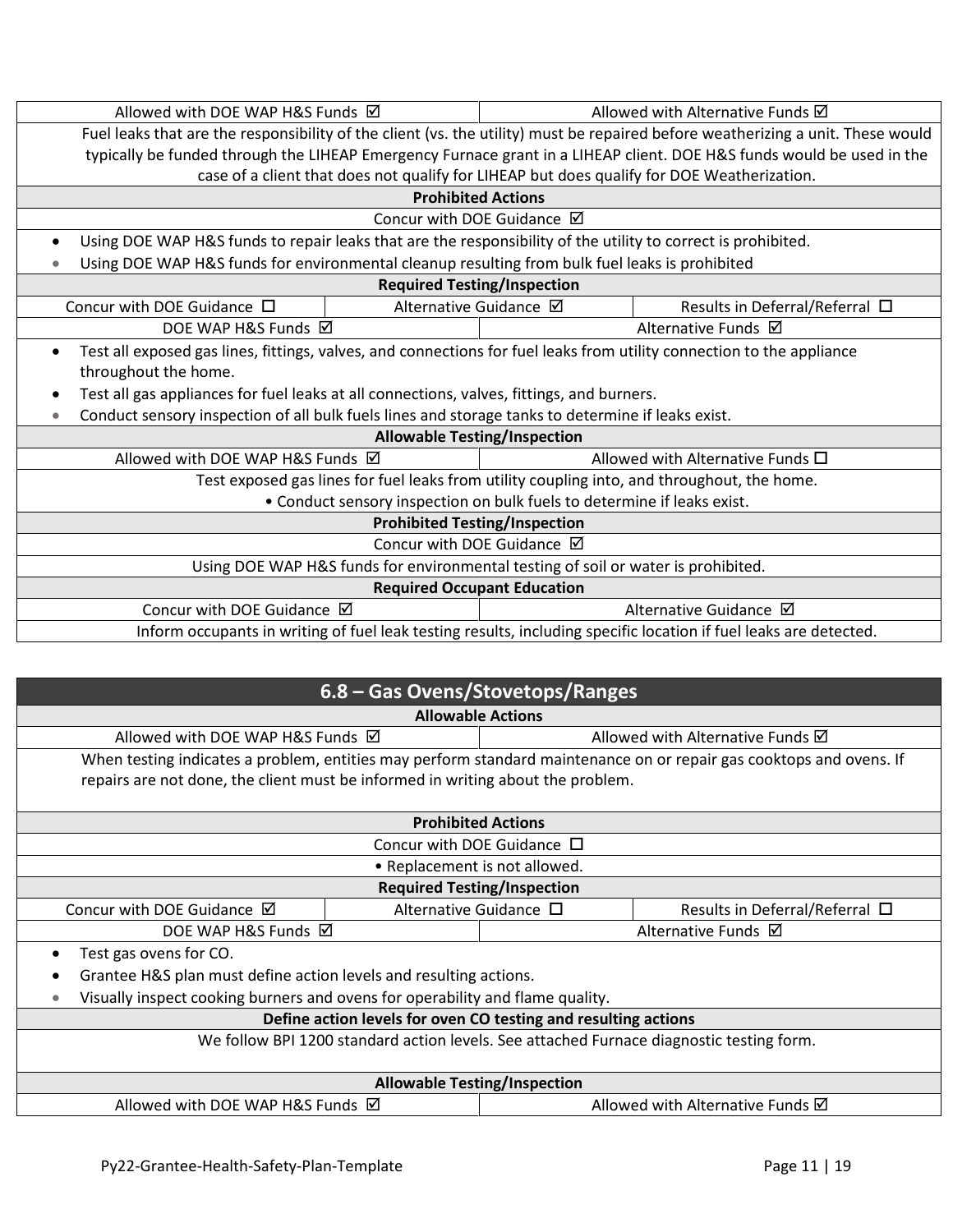| Allowed with DOE WAP H&S Funds ⊠                                                                                          | Allowed with Alternative Funds ⊠                                                                                                |  |  |  |
|---------------------------------------------------------------------------------------------------------------------------|---------------------------------------------------------------------------------------------------------------------------------|--|--|--|
|                                                                                                                           | Fuel leaks that are the responsibility of the client (vs. the utility) must be repaired before weatherizing a unit. These would |  |  |  |
|                                                                                                                           | typically be funded through the LIHEAP Emergency Furnace grant in a LIHEAP client. DOE H&S funds would be used in the           |  |  |  |
|                                                                                                                           | case of a client that does not qualify for LIHEAP but does qualify for DOE Weatherization.                                      |  |  |  |
|                                                                                                                           | <b>Prohibited Actions</b>                                                                                                       |  |  |  |
|                                                                                                                           | Concur with DOE Guidance Ø                                                                                                      |  |  |  |
| Using DOE WAP H&S funds to repair leaks that are the responsibility of the utility to correct is prohibited.<br>$\bullet$ |                                                                                                                                 |  |  |  |
| Using DOE WAP H&S funds for environmental cleanup resulting from bulk fuel leaks is prohibited                            |                                                                                                                                 |  |  |  |
|                                                                                                                           | <b>Required Testing/Inspection</b>                                                                                              |  |  |  |
| Concur with DOE Guidance □                                                                                                | Alternative Guidance Ø<br>Results in Deferral/Referral □                                                                        |  |  |  |
| DOE WAP H&S Funds ⊠                                                                                                       | Alternative Funds Ø                                                                                                             |  |  |  |
| $\bullet$                                                                                                                 | Test all exposed gas lines, fittings, valves, and connections for fuel leaks from utility connection to the appliance           |  |  |  |
| throughout the home.                                                                                                      |                                                                                                                                 |  |  |  |
| Test all gas appliances for fuel leaks at all connections, valves, fittings, and burners.<br>$\bullet$                    |                                                                                                                                 |  |  |  |
| Conduct sensory inspection of all bulk fuels lines and storage tanks to determine if leaks exist.<br>۰                    |                                                                                                                                 |  |  |  |
| <b>Allowable Testing/Inspection</b>                                                                                       |                                                                                                                                 |  |  |  |
| Allowed with DOE WAP H&S Funds ⊠                                                                                          | Allowed with Alternative Funds $\square$                                                                                        |  |  |  |
|                                                                                                                           | Test exposed gas lines for fuel leaks from utility coupling into, and throughout, the home.                                     |  |  |  |
| • Conduct sensory inspection on bulk fuels to determine if leaks exist.                                                   |                                                                                                                                 |  |  |  |
| <b>Prohibited Testing/Inspection</b>                                                                                      |                                                                                                                                 |  |  |  |
| Concur with DOE Guidance $\boxtimes$                                                                                      |                                                                                                                                 |  |  |  |
| Using DOE WAP H&S funds for environmental testing of soil or water is prohibited.                                         |                                                                                                                                 |  |  |  |
| <b>Required Occupant Education</b>                                                                                        |                                                                                                                                 |  |  |  |
| Concur with DOE Guidance $\boxtimes$<br>Alternative Guidance Ø                                                            |                                                                                                                                 |  |  |  |
| Inform occupants in writing of fuel leak testing results, including specific location if fuel leaks are detected.         |                                                                                                                                 |  |  |  |

| 6.8 – Gas Ovens/Stovetops/Ranges                                                         |                                                                    |                                    |                                                                                                                     |  |
|------------------------------------------------------------------------------------------|--------------------------------------------------------------------|------------------------------------|---------------------------------------------------------------------------------------------------------------------|--|
|                                                                                          |                                                                    | <b>Allowable Actions</b>           |                                                                                                                     |  |
| Allowed with DOE WAP H&S Funds ⊠                                                         |                                                                    |                                    | Allowed with Alternative Funds $\boxtimes$                                                                          |  |
|                                                                                          |                                                                    |                                    | When testing indicates a problem, entities may perform standard maintenance on or repair gas cooktops and ovens. If |  |
| repairs are not done, the client must be informed in writing about the problem.          |                                                                    |                                    |                                                                                                                     |  |
|                                                                                          |                                                                    |                                    |                                                                                                                     |  |
|                                                                                          |                                                                    | <b>Prohibited Actions</b>          |                                                                                                                     |  |
|                                                                                          |                                                                    | Concur with DOE Guidance $\Box$    |                                                                                                                     |  |
|                                                                                          |                                                                    | • Replacement is not allowed.      |                                                                                                                     |  |
|                                                                                          |                                                                    | <b>Required Testing/Inspection</b> |                                                                                                                     |  |
| Concur with DOE Guidance $\boxtimes$                                                     | Alternative Guidance $\Box$<br>Results in Deferral/Referral $\Box$ |                                    |                                                                                                                     |  |
| Alternative Funds $\boxtimes$<br>DOE WAP H&S Funds $\boxtimes$                           |                                                                    |                                    |                                                                                                                     |  |
| Test gas ovens for CO.<br>$\bullet$                                                      |                                                                    |                                    |                                                                                                                     |  |
| Grantee H&S plan must define action levels and resulting actions.<br>$\bullet$           |                                                                    |                                    |                                                                                                                     |  |
| Visually inspect cooking burners and ovens for operability and flame quality.<br>۰       |                                                                    |                                    |                                                                                                                     |  |
| Define action levels for oven CO testing and resulting actions                           |                                                                    |                                    |                                                                                                                     |  |
| We follow BPI 1200 standard action levels. See attached Furnace diagnostic testing form. |                                                                    |                                    |                                                                                                                     |  |
|                                                                                          |                                                                    |                                    |                                                                                                                     |  |
| <b>Allowable Testing/Inspection</b>                                                      |                                                                    |                                    |                                                                                                                     |  |
| Allowed with DOE WAP H&S Funds ⊠<br>Allowed with Alternative Funds $\boxtimes$           |                                                                    |                                    |                                                                                                                     |  |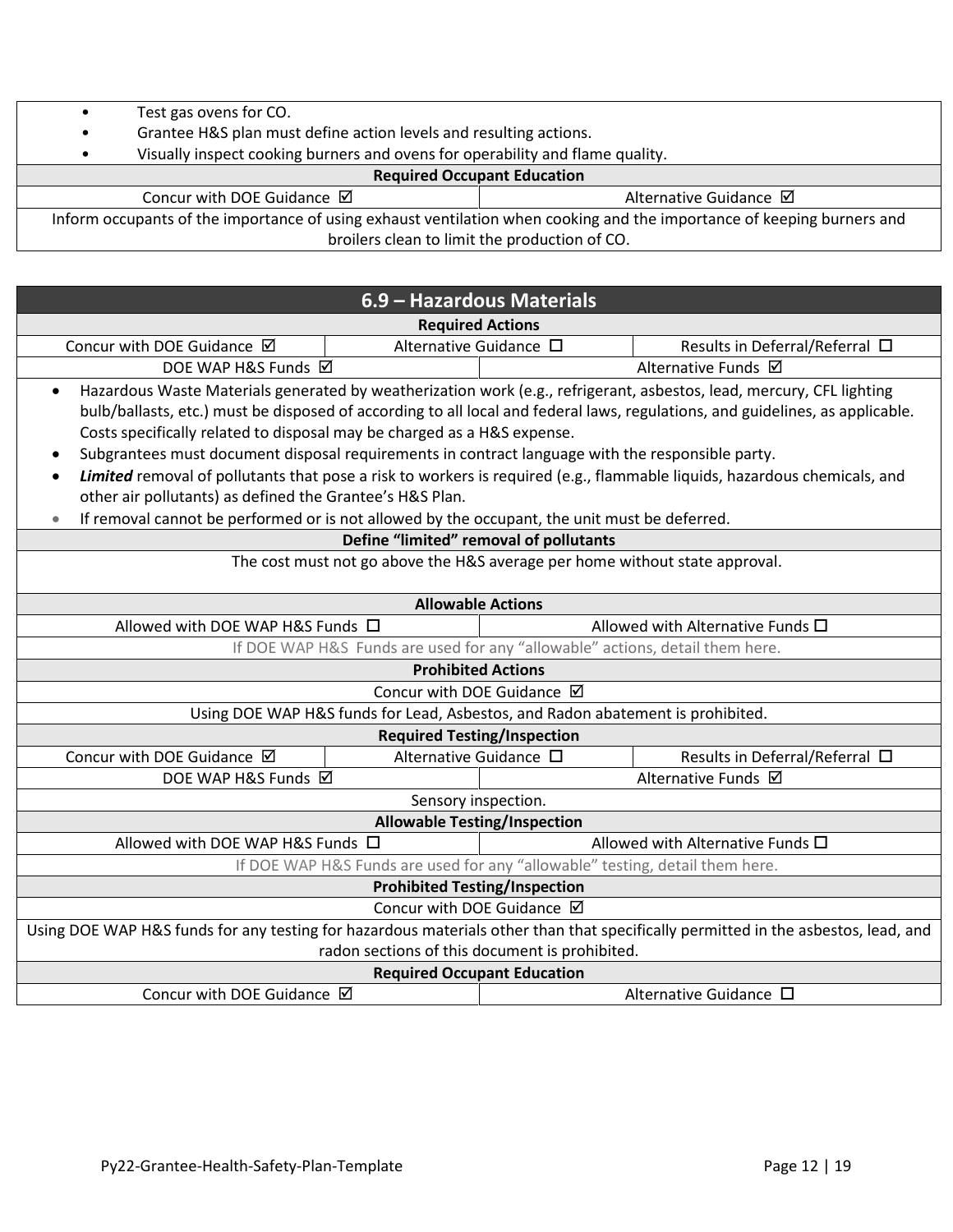- Test gas ovens for CO.
- Grantee H&S plan must define action levels and resulting actions.
- Visually inspect cooking burners and ovens for operability and flame quality.

#### **Required Occupant Education**

Concur with DOE Guidance ⊠ Alternative Guidance ⊠ Inform occupants of the importance of using exhaust ventilation when cooking and the importance of keeping burners and broilers clean to limit the production of CO.

**6.9 – Hazardous Materials Required Actions** Concur with DOE Guidance  $\boxtimes$  Alternative Guidance  $\Box$  Results in Deferral/Referral  $\Box$ DOE WAP H&S Funds ⊠ Alternative Funds ⊠ • Hazardous Waste Materials generated by weatherization work (e.g., refrigerant, asbestos, lead, mercury, CFL lighting bulb/ballasts, etc.) must be disposed of according to all local and federal laws, regulations, and guidelines, as applicable. Costs specifically related to disposal may be charged as a H&S expense. • Subgrantees must document disposal requirements in contract language with the responsible party. • *Limited* removal of pollutants that pose a risk to workers is required (e.g., flammable liquids, hazardous chemicals, and other air pollutants) as defined the Grantee's H&S Plan. • If removal cannot be performed or is not allowed by the occupant, the unit must be deferred. **Define "limited" removal of pollutants** The cost must not go above the H&S average per home without state approval. **Allowable Actions** Allowed with DOE WAP H&S Funds  $\Box$  Allowed with Alternative Funds  $\Box$ If DOE WAP H&S Funds are used for any "allowable" actions, detail them here. **Prohibited Actions** Concur with DOE Guidance Using DOE WAP H&S funds for Lead, Asbestos, and Radon abatement is prohibited. **Required Testing/Inspection** Concur with DOE Guidance  $\boxtimes$  Alternative Guidance  $\Box$  Results in Deferral/Referral  $\Box$ DOE WAP H&S Funds ⊠ Alternative Funds ⊠ Sensory inspection. **Allowable Testing/Inspection** Allowed with DOE WAP H&S Funds  $\Box$  Allowed with Alternative Funds  $\Box$ If DOE WAP H&S Funds are used for any "allowable" testing, detail them here. **Prohibited Testing/Inspection** Concur with DOE Guidance **Ø** Using DOE WAP H&S funds for any testing for hazardous materials other than that specifically permitted in the asbestos, lead, and radon sections of this document is prohibited. **Required Occupant Education** Concur with DOE Guidance  $\boxtimes$   $\qquad$   $\qquad$   $\qquad$  Alternative Guidance  $\Box$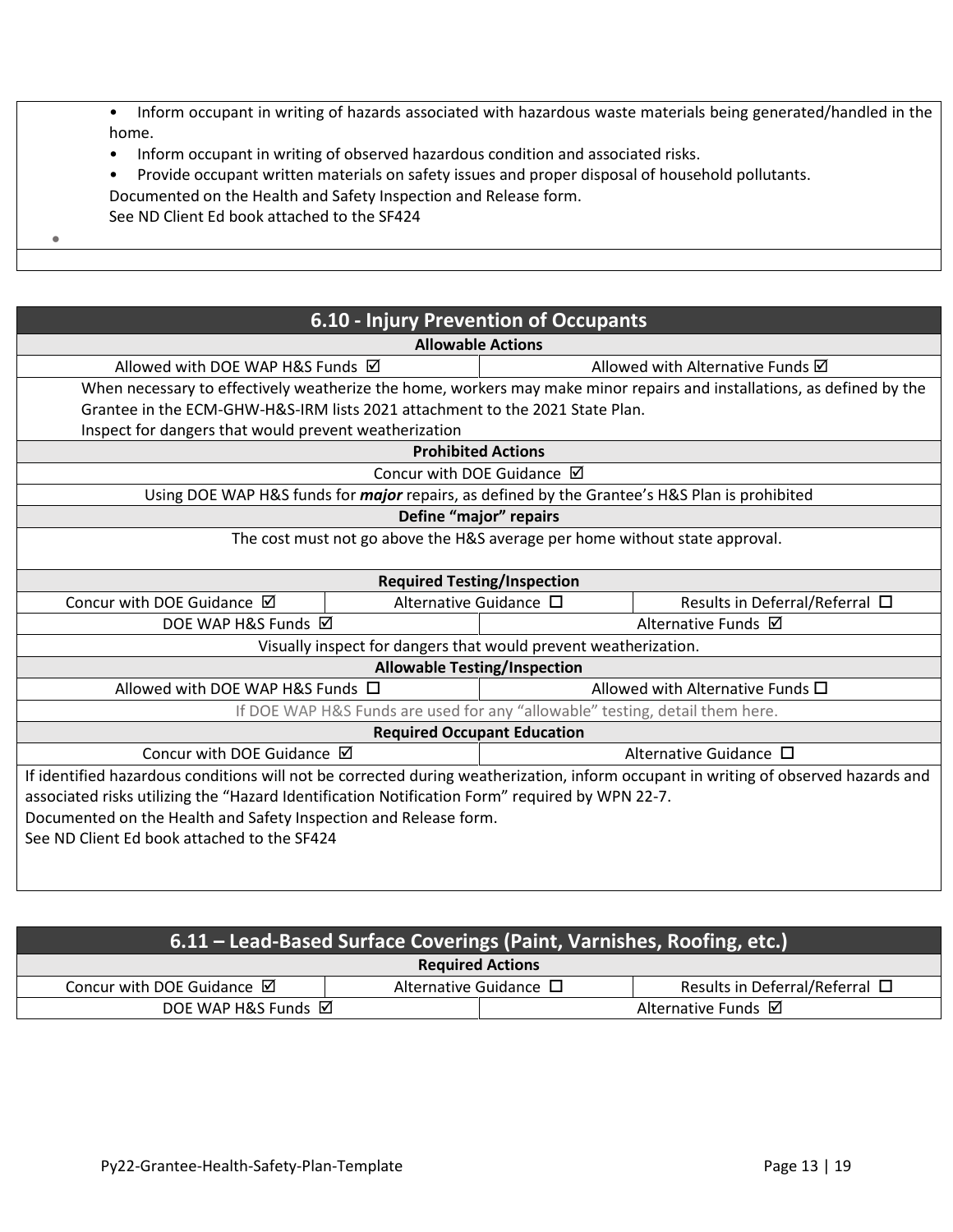- Inform occupant in writing of hazards associated with hazardous waste materials being generated/handled in the home.
- Inform occupant in writing of observed hazardous condition and associated risks.
- Provide occupant written materials on safety issues and proper disposal of household pollutants. Documented on the Health and Safety Inspection and Release form.

See ND Client Ed book attached to the SF424

•

| <b>6.10 - Injury Prevention of Occupants</b>                                                                                       |                                       |                                  |  |
|------------------------------------------------------------------------------------------------------------------------------------|---------------------------------------|----------------------------------|--|
|                                                                                                                                    | <b>Allowable Actions</b>              |                                  |  |
| Allowed with DOE WAP H&S Funds Ø                                                                                                   |                                       | Allowed with Alternative Funds Ø |  |
| When necessary to effectively weatherize the home, workers may make minor repairs and installations, as defined by the             |                                       |                                  |  |
| Grantee in the ECM-GHW-H&S-IRM lists 2021 attachment to the 2021 State Plan.                                                       |                                       |                                  |  |
| Inspect for dangers that would prevent weatherization                                                                              |                                       |                                  |  |
|                                                                                                                                    | <b>Prohibited Actions</b>             |                                  |  |
|                                                                                                                                    | Concur with DOE Guidance $\boxtimes$  |                                  |  |
| Using DOE WAP H&S funds for <i>major</i> repairs, as defined by the Grantee's H&S Plan is prohibited                               |                                       |                                  |  |
|                                                                                                                                    | Define "major" repairs                |                                  |  |
| The cost must not go above the H&S average per home without state approval.                                                        |                                       |                                  |  |
|                                                                                                                                    |                                       |                                  |  |
|                                                                                                                                    | <b>Required Testing/Inspection</b>    |                                  |  |
| Concur with DOE Guidance Ø                                                                                                         | Alternative Guidance □                | Results in Deferral/Referral □   |  |
| Alternative Funds Ø<br>DOE WAP H&S Funds ⊠                                                                                         |                                       |                                  |  |
| Visually inspect for dangers that would prevent weatherization.                                                                    |                                       |                                  |  |
| <b>Allowable Testing/Inspection</b>                                                                                                |                                       |                                  |  |
| Allowed with DOE WAP H&S Funds □                                                                                                   | Allowed with Alternative Funds $\Box$ |                                  |  |
| If DOE WAP H&S Funds are used for any "allowable" testing, detail them here.                                                       |                                       |                                  |  |
| <b>Required Occupant Education</b>                                                                                                 |                                       |                                  |  |
| Concur with DOE Guidance Ø<br>Alternative Guidance $\Box$                                                                          |                                       |                                  |  |
| If identified hazardous conditions will not be corrected during weatherization, inform occupant in writing of observed hazards and |                                       |                                  |  |
| associated risks utilizing the "Hazard Identification Notification Form" required by WPN 22-7.                                     |                                       |                                  |  |
| Documented on the Health and Safety Inspection and Release form.                                                                   |                                       |                                  |  |
| See ND Client Ed book attached to the SE424                                                                                        |                                       |                                  |  |
|                                                                                                                                    |                                       |                                  |  |

| 6.11 – Lead-Based Surface Coverings (Paint, Varnishes, Roofing, etc.) |                                                                    |                     |  |  |
|-----------------------------------------------------------------------|--------------------------------------------------------------------|---------------------|--|--|
| <b>Required Actions</b>                                               |                                                                    |                     |  |  |
| Concur with DOE Guidance $\boxtimes$                                  | Results in Deferral/Referral $\Box$<br>Alternative Guidance $\Box$ |                     |  |  |
| DOE WAP H&S Funds ⊠                                                   |                                                                    | Alternative Funds ⊠ |  |  |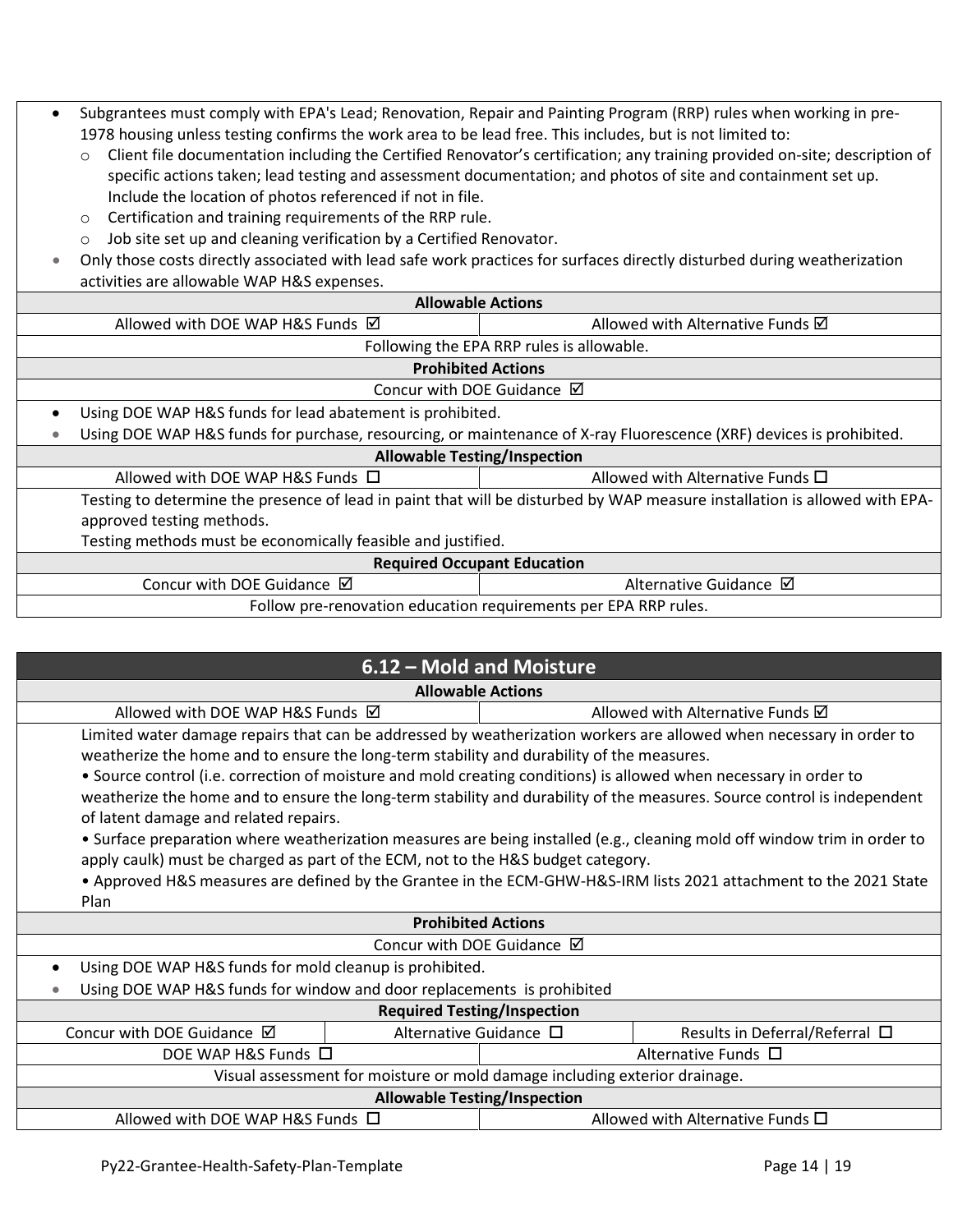- Subgrantees must comply with EPA's Lead; Renovation, Repair and Painting Program (RRP) rules when working in pre-1978 housing unless testing confirms the work area to be lead free. This includes, but is not limited to:
	- o Client file documentation including the Certified Renovator's certification; any training provided on-site; description of specific actions taken; lead testing and assessment documentation; and photos of site and containment set up. Include the location of photos referenced if not in file.
	- o Certification and training requirements of the RRP rule.
	- o Job site set up and cleaning verification by a Certified Renovator.
- Only those costs directly associated with lead safe work practices for surfaces directly disturbed during weatherization activities are allowable WAP H&S expenses.

| <b>Allowable Actions</b>                                                                                                   |                                                                                                                     |  |  |  |
|----------------------------------------------------------------------------------------------------------------------------|---------------------------------------------------------------------------------------------------------------------|--|--|--|
| Allowed with DOE WAP H&S Funds ⊠<br>Allowed with Alternative Funds Ø                                                       |                                                                                                                     |  |  |  |
|                                                                                                                            | Following the EPA RRP rules is allowable.                                                                           |  |  |  |
|                                                                                                                            | <b>Prohibited Actions</b>                                                                                           |  |  |  |
|                                                                                                                            | Concur with DOE Guidance $\boxtimes$                                                                                |  |  |  |
| Using DOE WAP H&S funds for lead abatement is prohibited.<br>$\bullet$                                                     |                                                                                                                     |  |  |  |
| $\bullet$                                                                                                                  | Using DOE WAP H&S funds for purchase, resourcing, or maintenance of X-ray Fluorescence (XRF) devices is prohibited. |  |  |  |
|                                                                                                                            | <b>Allowable Testing/Inspection</b>                                                                                 |  |  |  |
| Allowed with DOE WAP H&S Funds $\Box$<br>Allowed with Alternative Funds $\Box$                                             |                                                                                                                     |  |  |  |
| Testing to determine the presence of lead in paint that will be disturbed by WAP measure installation is allowed with EPA- |                                                                                                                     |  |  |  |
| approved testing methods.                                                                                                  |                                                                                                                     |  |  |  |
| Testing methods must be economically feasible and justified.                                                               |                                                                                                                     |  |  |  |
| <b>Required Occupant Education</b>                                                                                         |                                                                                                                     |  |  |  |
| Concur with DOE Guidance Ø                                                                                                 | Alternative Guidance Ø                                                                                              |  |  |  |
| Follow pre-renovation education requirements per EPA RRP rules.                                                            |                                                                                                                     |  |  |  |

| 6.12 – Mold and Moisture                                                                                          |                                                                              |                             |                                                                                                                          |  |
|-------------------------------------------------------------------------------------------------------------------|------------------------------------------------------------------------------|-----------------------------|--------------------------------------------------------------------------------------------------------------------------|--|
|                                                                                                                   |                                                                              | <b>Allowable Actions</b>    |                                                                                                                          |  |
| Allowed with DOE WAP H&S Funds ⊠                                                                                  |                                                                              |                             | Allowed with Alternative Funds $\boxtimes$                                                                               |  |
|                                                                                                                   |                                                                              |                             | Limited water damage repairs that can be addressed by weatherization workers are allowed when necessary in order to      |  |
| weatherize the home and to ensure the long-term stability and durability of the measures.                         |                                                                              |                             |                                                                                                                          |  |
| • Source control (i.e. correction of moisture and mold creating conditions) is allowed when necessary in order to |                                                                              |                             |                                                                                                                          |  |
|                                                                                                                   |                                                                              |                             | weatherize the home and to ensure the long-term stability and durability of the measures. Source control is independent  |  |
| of latent damage and related repairs.                                                                             |                                                                              |                             |                                                                                                                          |  |
|                                                                                                                   |                                                                              |                             | • Surface preparation where weatherization measures are being installed (e.g., cleaning mold off window trim in order to |  |
| apply caulk) must be charged as part of the ECM, not to the H&S budget category.                                  |                                                                              |                             |                                                                                                                          |  |
|                                                                                                                   |                                                                              |                             | • Approved H&S measures are defined by the Grantee in the ECM-GHW-H&S-IRM lists 2021 attachment to the 2021 State        |  |
| Plan                                                                                                              |                                                                              |                             |                                                                                                                          |  |
|                                                                                                                   | <b>Prohibited Actions</b>                                                    |                             |                                                                                                                          |  |
| Concur with DOE Guidance $\boxtimes$                                                                              |                                                                              |                             |                                                                                                                          |  |
| Using DOE WAP H&S funds for mold cleanup is prohibited.<br>٠                                                      |                                                                              |                             |                                                                                                                          |  |
| Using DOE WAP H&S funds for window and door replacements is prohibited<br>$\bullet$                               |                                                                              |                             |                                                                                                                          |  |
| <b>Required Testing/Inspection</b>                                                                                |                                                                              |                             |                                                                                                                          |  |
| Concur with DOE Guidance $\boxtimes$                                                                              |                                                                              | Alternative Guidance $\Box$ | Results in Deferral/Referral $\Box$                                                                                      |  |
|                                                                                                                   | DOE WAP H&S Funds $\Box$<br>Alternative Funds $\square$                      |                             |                                                                                                                          |  |
| Visual assessment for moisture or mold damage including exterior drainage.                                        |                                                                              |                             |                                                                                                                          |  |
| <b>Allowable Testing/Inspection</b>                                                                               |                                                                              |                             |                                                                                                                          |  |
|                                                                                                                   | Allowed with Alternative Funds $\square$<br>Allowed with DOE WAP H&S Funds □ |                             |                                                                                                                          |  |
|                                                                                                                   |                                                                              |                             |                                                                                                                          |  |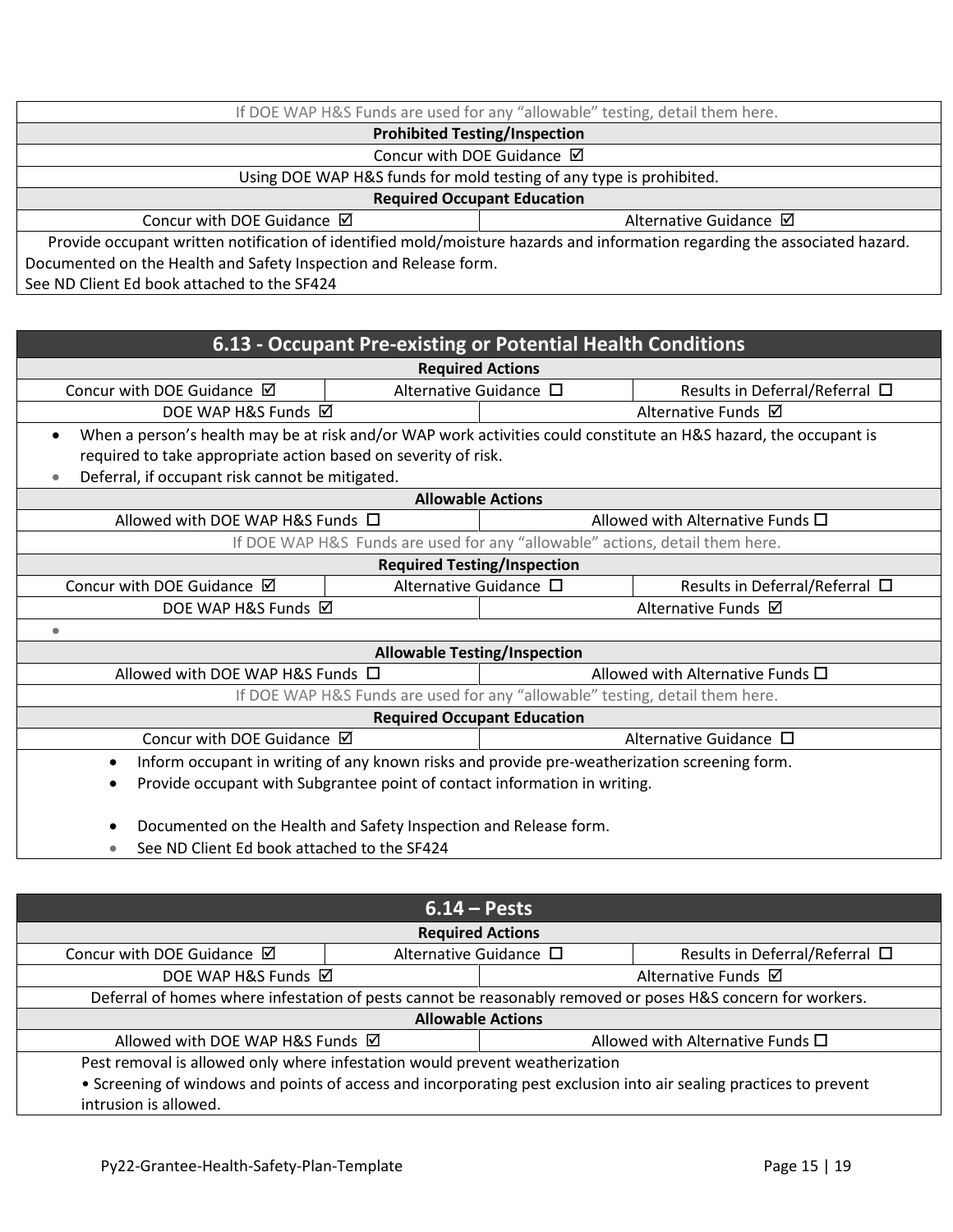| If DOE WAP H&S Funds are used for any "allowable" testing, detail them here.                                               |  |  |  |
|----------------------------------------------------------------------------------------------------------------------------|--|--|--|
| <b>Prohibited Testing/Inspection</b>                                                                                       |  |  |  |
| Concur with DOE Guidance Ø                                                                                                 |  |  |  |
| Using DOE WAP H&S funds for mold testing of any type is prohibited.                                                        |  |  |  |
| <b>Required Occupant Education</b>                                                                                         |  |  |  |
| Concur with DOE Guidance $\boxtimes$<br>Alternative Guidance Ø                                                             |  |  |  |
| Provide occupant written notification of identified mold/moisture hazards and information regarding the associated hazard. |  |  |  |
| Documented on the Health and Safety Inspection and Release form.                                                           |  |  |  |
|                                                                                                                            |  |  |  |

See ND Client Ed book attached to the SF424

| <b>6.13 - Occupant Pre-existing or Potential Health Conditions</b>                                                            |                                                                                                       |                                                                              |                                          |  |  |
|-------------------------------------------------------------------------------------------------------------------------------|-------------------------------------------------------------------------------------------------------|------------------------------------------------------------------------------|------------------------------------------|--|--|
|                                                                                                                               | <b>Required Actions</b>                                                                               |                                                                              |                                          |  |  |
| Concur with DOE Guidance $\boxtimes$                                                                                          | Alternative Guidance $\Box$<br>Results in Deferral/Referral □                                         |                                                                              |                                          |  |  |
| DOE WAP H&S Funds $\boxtimes$                                                                                                 |                                                                                                       |                                                                              | Alternative Funds $\boxtimes$            |  |  |
| When a person's health may be at risk and/or WAP work activities could constitute an H&S hazard, the occupant is<br>$\bullet$ |                                                                                                       |                                                                              |                                          |  |  |
| required to take appropriate action based on severity of risk.                                                                |                                                                                                       |                                                                              |                                          |  |  |
| Deferral, if occupant risk cannot be mitigated.<br>۰                                                                          |                                                                                                       |                                                                              |                                          |  |  |
|                                                                                                                               | <b>Allowable Actions</b>                                                                              |                                                                              |                                          |  |  |
| Allowed with DOE WAP H&S Funds □                                                                                              |                                                                                                       |                                                                              | Allowed with Alternative Funds $\square$ |  |  |
|                                                                                                                               |                                                                                                       | If DOE WAP H&S Funds are used for any "allowable" actions, detail them here. |                                          |  |  |
|                                                                                                                               |                                                                                                       | <b>Required Testing/Inspection</b>                                           |                                          |  |  |
|                                                                                                                               | Concur with DOE Guidance $\boxtimes$<br>Alternative Guidance □<br>Results in Deferral/Referral $\Box$ |                                                                              |                                          |  |  |
| Alternative Funds Ø<br>DOE WAP H&S Funds ⊠                                                                                    |                                                                                                       |                                                                              |                                          |  |  |
| ٠                                                                                                                             |                                                                                                       |                                                                              |                                          |  |  |
|                                                                                                                               | <b>Allowable Testing/Inspection</b>                                                                   |                                                                              |                                          |  |  |
|                                                                                                                               | Allowed with DOE WAP H&S Funds □<br>Allowed with Alternative Funds $\square$                          |                                                                              |                                          |  |  |
|                                                                                                                               | If DOE WAP H&S Funds are used for any "allowable" testing, detail them here.                          |                                                                              |                                          |  |  |
| <b>Required Occupant Education</b>                                                                                            |                                                                                                       |                                                                              |                                          |  |  |
| Concur with DOE Guidance $\boxtimes$<br>Alternative Guidance $\Box$                                                           |                                                                                                       |                                                                              |                                          |  |  |
| Inform occupant in writing of any known risks and provide pre-weatherization screening form.<br>$\bullet$                     |                                                                                                       |                                                                              |                                          |  |  |
| Provide occupant with Subgrantee point of contact information in writing.                                                     |                                                                                                       |                                                                              |                                          |  |  |
| Documented on the Health and Safety Inspection and Release form.                                                              |                                                                                                       |                                                                              |                                          |  |  |

• See ND Client Ed book attached to the SF424

| $6.14 - Pests$                                                                                                     |                                                                                                             |                                          |                                     |  |  |
|--------------------------------------------------------------------------------------------------------------------|-------------------------------------------------------------------------------------------------------------|------------------------------------------|-------------------------------------|--|--|
|                                                                                                                    | <b>Required Actions</b>                                                                                     |                                          |                                     |  |  |
| Concur with DOE Guidance $\boxtimes$                                                                               |                                                                                                             | Alternative Guidance □                   | Results in Deferral/Referral $\Box$ |  |  |
|                                                                                                                    | DOE WAP H&S Funds ⊠                                                                                         |                                          | Alternative Funds Ø                 |  |  |
|                                                                                                                    | Deferral of homes where infestation of pests cannot be reasonably removed or poses H&S concern for workers. |                                          |                                     |  |  |
|                                                                                                                    | <b>Allowable Actions</b>                                                                                    |                                          |                                     |  |  |
| Allowed with DOE WAP H&S Funds ⊠                                                                                   |                                                                                                             | Allowed with Alternative Funds $\square$ |                                     |  |  |
| Pest removal is allowed only where infestation would prevent weatherization                                        |                                                                                                             |                                          |                                     |  |  |
| • Screening of windows and points of access and incorporating pest exclusion into air sealing practices to prevent |                                                                                                             |                                          |                                     |  |  |
| intrusion is allowed.                                                                                              |                                                                                                             |                                          |                                     |  |  |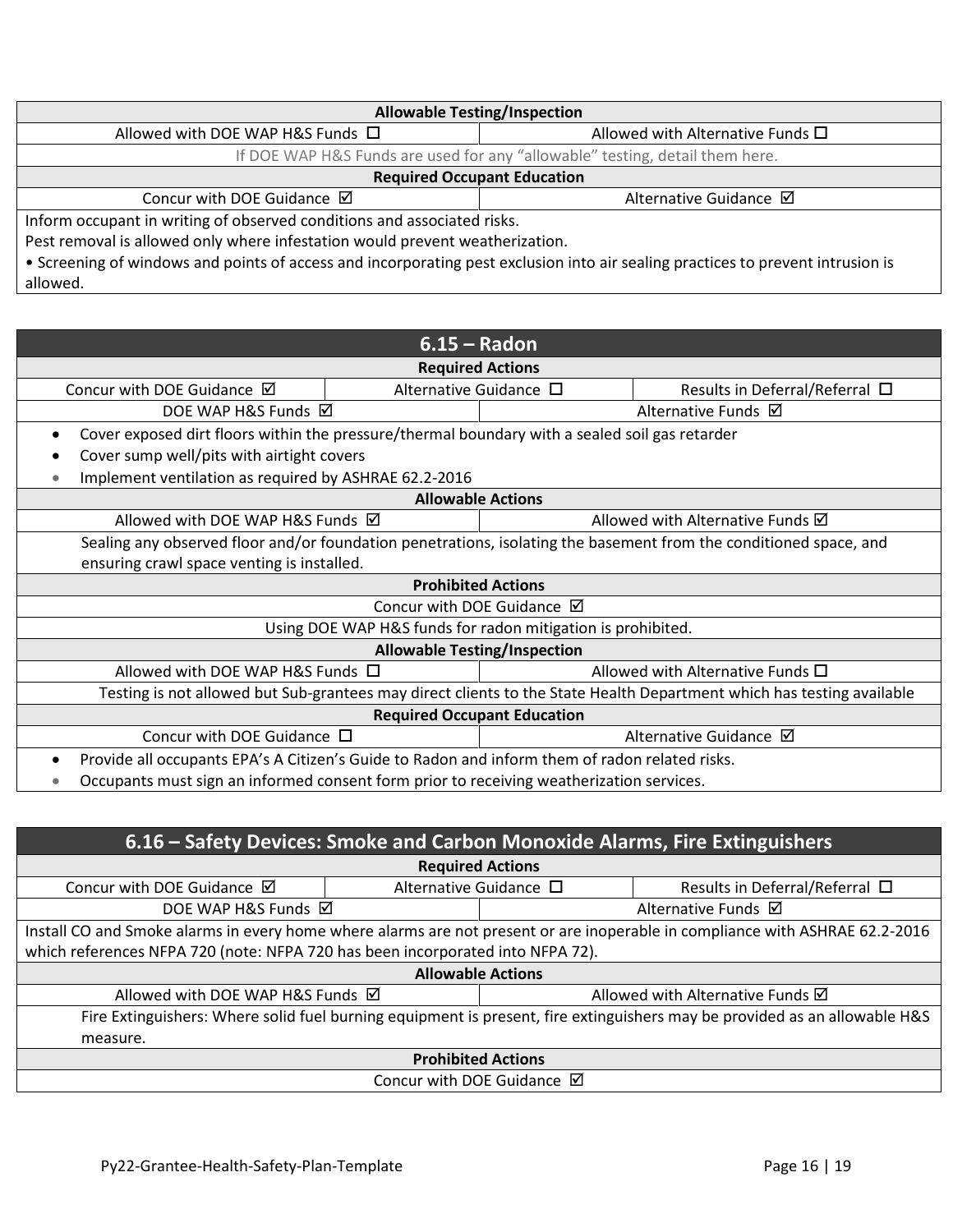| <b>Allowable Testing/Inspection</b>                                                                                             |                                          |  |  |  |
|---------------------------------------------------------------------------------------------------------------------------------|------------------------------------------|--|--|--|
| Allowed with DOE WAP H&S Funds □                                                                                                | Allowed with Alternative Funds $\square$ |  |  |  |
| If DOE WAP H&S Funds are used for any "allowable" testing, detail them here.                                                    |                                          |  |  |  |
| <b>Required Occupant Education</b>                                                                                              |                                          |  |  |  |
| Concur with DOE Guidance $\boxtimes$<br>Alternative Guidance Ø                                                                  |                                          |  |  |  |
| Inform occupant in writing of observed conditions and associated risks.                                                         |                                          |  |  |  |
| Pest removal is allowed only where infestation would prevent weatherization.                                                    |                                          |  |  |  |
| • Screening of windows and points of access and incorporating pest exclusion into air sealing practices to prevent intrusion is |                                          |  |  |  |

allowed.

| $6.15 - Radon$                                                                                                        |                                                                                |                          |                                     |  |
|-----------------------------------------------------------------------------------------------------------------------|--------------------------------------------------------------------------------|--------------------------|-------------------------------------|--|
| <b>Required Actions</b>                                                                                               |                                                                                |                          |                                     |  |
| Concur with DOE Guidance Ø                                                                                            | Alternative Guidance $\Box$                                                    |                          | Results in Deferral/Referral $\Box$ |  |
| DOE WAP H&S Funds ⊠                                                                                                   |                                                                                |                          | Alternative Funds Ø                 |  |
| Cover exposed dirt floors within the pressure/thermal boundary with a sealed soil gas retarder                        |                                                                                |                          |                                     |  |
| Cover sump well/pits with airtight covers                                                                             |                                                                                |                          |                                     |  |
| Implement ventilation as required by ASHRAE 62.2-2016                                                                 |                                                                                |                          |                                     |  |
|                                                                                                                       |                                                                                | <b>Allowable Actions</b> |                                     |  |
|                                                                                                                       | Allowed with DOE WAP H&S Funds ⊠<br>Allowed with Alternative Funds $\boxtimes$ |                          |                                     |  |
| Sealing any observed floor and/or foundation penetrations, isolating the basement from the conditioned space, and     |                                                                                |                          |                                     |  |
| ensuring crawl space venting is installed.                                                                            |                                                                                |                          |                                     |  |
| <b>Prohibited Actions</b>                                                                                             |                                                                                |                          |                                     |  |
| Concur with DOE Guidance Ø                                                                                            |                                                                                |                          |                                     |  |
| Using DOE WAP H&S funds for radon mitigation is prohibited.                                                           |                                                                                |                          |                                     |  |
| <b>Allowable Testing/Inspection</b>                                                                                   |                                                                                |                          |                                     |  |
| Allowed with DOE WAP H&S Funds □<br>Allowed with Alternative Funds $\square$                                          |                                                                                |                          |                                     |  |
| Testing is not allowed but Sub-grantees may direct clients to the State Health Department which has testing available |                                                                                |                          |                                     |  |
| <b>Required Occupant Education</b>                                                                                    |                                                                                |                          |                                     |  |
|                                                                                                                       | Concur with DOE Guidance $\Box$<br>Alternative Guidance Ø                      |                          |                                     |  |
| Provide all occupants EPA's A Citizen's Guide to Radon and inform them of radon related risks.                        |                                                                                |                          |                                     |  |
| Occupants must sign an informed consent form prior to receiving weatherization services.                              |                                                                                |                          |                                     |  |

| 6.16 – Safety Devices: Smoke and Carbon Monoxide Alarms, Fire Extinguishers                                               |                        |  |                                                                                                                              |  |  |
|---------------------------------------------------------------------------------------------------------------------------|------------------------|--|------------------------------------------------------------------------------------------------------------------------------|--|--|
| <b>Required Actions</b>                                                                                                   |                        |  |                                                                                                                              |  |  |
| Concur with DOE Guidance $\boxtimes$                                                                                      | Alternative Guidance □ |  | Results in Deferral/Referral $\Box$                                                                                          |  |  |
| DOE WAP H&S Funds $\boxtimes$                                                                                             |                        |  | Alternative Funds ⊠                                                                                                          |  |  |
|                                                                                                                           |                        |  | Install CO and Smoke alarms in every home where alarms are not present or are inoperable in compliance with ASHRAE 62.2-2016 |  |  |
| which references NFPA 720 (note: NFPA 720 has been incorporated into NFPA 72).                                            |                        |  |                                                                                                                              |  |  |
| <b>Allowable Actions</b>                                                                                                  |                        |  |                                                                                                                              |  |  |
| Allowed with DOE WAP H&S Funds ⊠<br>Allowed with Alternative Funds Ø                                                      |                        |  |                                                                                                                              |  |  |
| Fire Extinguishers: Where solid fuel burning equipment is present, fire extinguishers may be provided as an allowable H&S |                        |  |                                                                                                                              |  |  |
| measure.                                                                                                                  |                        |  |                                                                                                                              |  |  |
| <b>Prohibited Actions</b>                                                                                                 |                        |  |                                                                                                                              |  |  |
| Concur with DOE Guidance $\boxtimes$                                                                                      |                        |  |                                                                                                                              |  |  |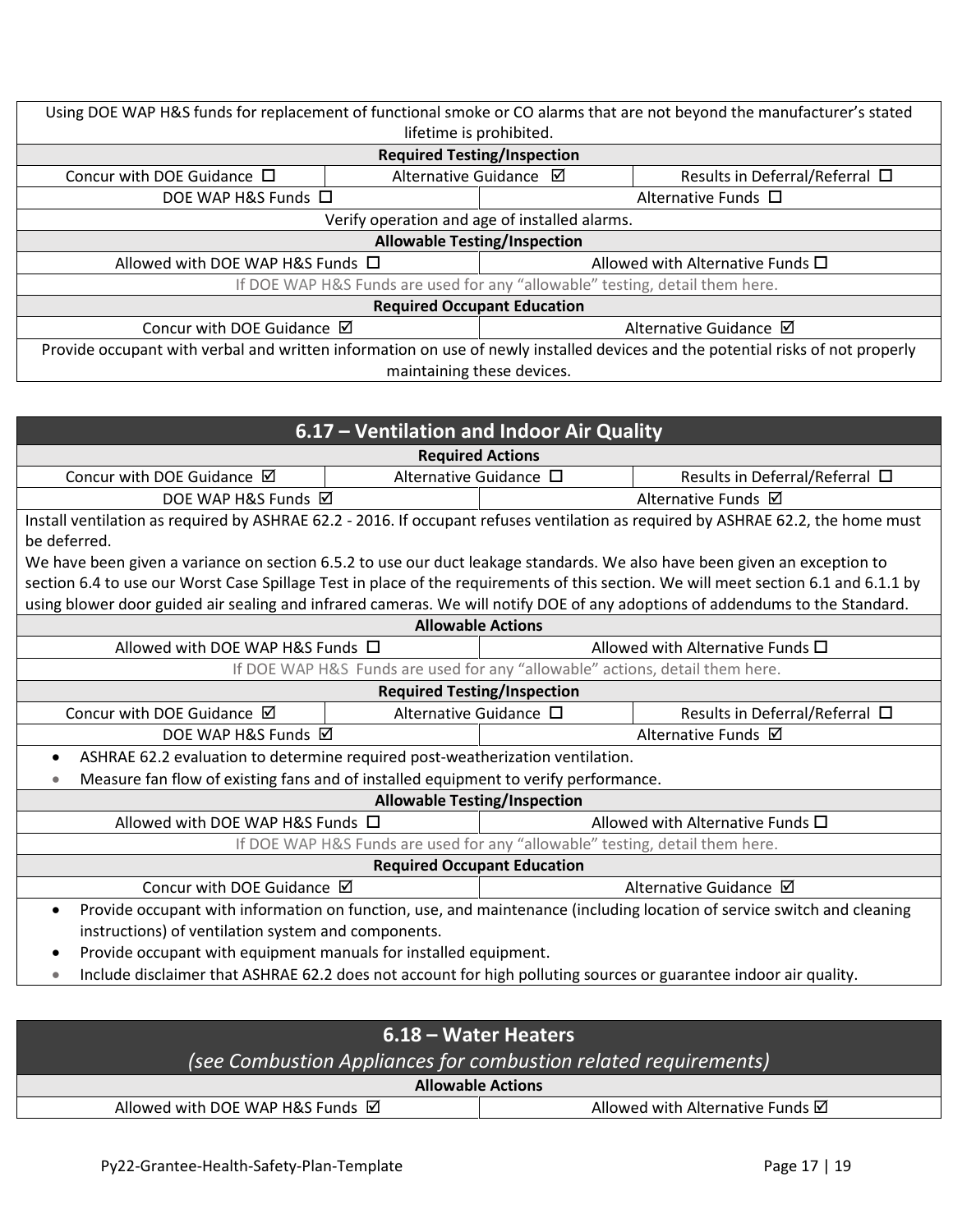| Using DOE WAP H&S funds for replacement of functional smoke or CO alarms that are not beyond the manufacturer's stated         |  |                                    |                                     |  |
|--------------------------------------------------------------------------------------------------------------------------------|--|------------------------------------|-------------------------------------|--|
|                                                                                                                                |  | lifetime is prohibited.            |                                     |  |
|                                                                                                                                |  | <b>Required Testing/Inspection</b> |                                     |  |
| Concur with DOE Guidance $\Box$                                                                                                |  | Alternative Guidance Ø             | Results in Deferral/Referral $\Box$ |  |
| DOE WAP H&S Funds $\Box$<br>Alternative Funds $\square$                                                                        |  |                                    |                                     |  |
| Verify operation and age of installed alarms.                                                                                  |  |                                    |                                     |  |
| <b>Allowable Testing/Inspection</b>                                                                                            |  |                                    |                                     |  |
| Allowed with DOE WAP H&S Funds $\Box$<br>Allowed with Alternative Funds $\Box$                                                 |  |                                    |                                     |  |
| If DOE WAP H&S Funds are used for any "allowable" testing, detail them here.                                                   |  |                                    |                                     |  |
| <b>Required Occupant Education</b>                                                                                             |  |                                    |                                     |  |
| Concur with DOE Guidance $\boxtimes$<br>Alternative Guidance Ø                                                                 |  |                                    |                                     |  |
| Provide occupant with verbal and written information on use of newly installed devices and the potential risks of not properly |  |                                    |                                     |  |
| maintaining these devices.                                                                                                     |  |                                    |                                     |  |

| 6.17 - Ventilation and Indoor Air Quality                                                                                           |                                                                               |                                                          |                                     |  |
|-------------------------------------------------------------------------------------------------------------------------------------|-------------------------------------------------------------------------------|----------------------------------------------------------|-------------------------------------|--|
| <b>Required Actions</b>                                                                                                             |                                                                               |                                                          |                                     |  |
| Concur with DOE Guidance Ø                                                                                                          |                                                                               | Alternative Guidance □                                   | Results in Deferral/Referral $\Box$ |  |
| DOE WAP H&S Funds D                                                                                                                 |                                                                               |                                                          | Alternative Funds Ø                 |  |
| Install ventilation as required by ASHRAE 62.2 - 2016. If occupant refuses ventilation as required by ASHRAE 62.2, the home must    |                                                                               |                                                          |                                     |  |
| be deferred.                                                                                                                        |                                                                               |                                                          |                                     |  |
| We have been given a variance on section 6.5.2 to use our duct leakage standards. We also have been given an exception to           |                                                                               |                                                          |                                     |  |
| section 6.4 to use our Worst Case Spillage Test in place of the requirements of this section. We will meet section 6.1 and 6.1.1 by |                                                                               |                                                          |                                     |  |
| using blower door guided air sealing and infrared cameras. We will notify DOE of any adoptions of addendums to the Standard.        |                                                                               |                                                          |                                     |  |
|                                                                                                                                     |                                                                               | <b>Allowable Actions</b>                                 |                                     |  |
|                                                                                                                                     | Allowed with DOE WAP H&S Funds □<br>Allowed with Alternative Funds $\square$  |                                                          |                                     |  |
|                                                                                                                                     | If DOE WAP H&S Funds are used for any "allowable" actions, detail them here.  |                                                          |                                     |  |
|                                                                                                                                     |                                                                               | <b>Required Testing/Inspection</b>                       |                                     |  |
| Concur with DOE Guidance $\boxtimes$                                                                                                |                                                                               | Alternative Guidance □<br>Results in Deferral/Referral □ |                                     |  |
| DOE WAP H&S Funds ⊠                                                                                                                 |                                                                               | Alternative Funds Ø                                      |                                     |  |
| $\bullet$                                                                                                                           | ASHRAE 62.2 evaluation to determine required post-weatherization ventilation. |                                                          |                                     |  |
| Measure fan flow of existing fans and of installed equipment to verify performance.<br>۰                                            |                                                                               |                                                          |                                     |  |
| <b>Allowable Testing/Inspection</b>                                                                                                 |                                                                               |                                                          |                                     |  |
| Allowed with DOE WAP H&S Funds □                                                                                                    |                                                                               | Allowed with Alternative Funds □                         |                                     |  |
| If DOE WAP H&S Funds are used for any "allowable" testing, detail them here.                                                        |                                                                               |                                                          |                                     |  |
| <b>Required Occupant Education</b>                                                                                                  |                                                                               |                                                          |                                     |  |
| Concur with DOE Guidance Ø<br>Alternative Guidance Ø                                                                                |                                                                               |                                                          |                                     |  |
| Provide occupant with information on function, use, and maintenance (including location of service switch and cleaning<br>$\bullet$ |                                                                               |                                                          |                                     |  |
| instructions) of ventilation system and components.                                                                                 |                                                                               |                                                          |                                     |  |
| Brough accurant with coupment manuals for installed equipment                                                                       |                                                                               |                                                          |                                     |  |

- Provide occupant with equipment manuals for installed equipment.
- Include disclaimer that ASHRAE 62.2 does not account for high polluting sources or guarantee indoor air quality.

| 6.18 – Water Heaters                                                                     |  |  |  |  |
|------------------------------------------------------------------------------------------|--|--|--|--|
| (see Combustion Appliances for combustion related requirements)                          |  |  |  |  |
| <b>Allowable Actions</b>                                                                 |  |  |  |  |
| Allowed with DOE WAP H&S Funds $\boxtimes$<br>Allowed with Alternative Funds $\boxtimes$ |  |  |  |  |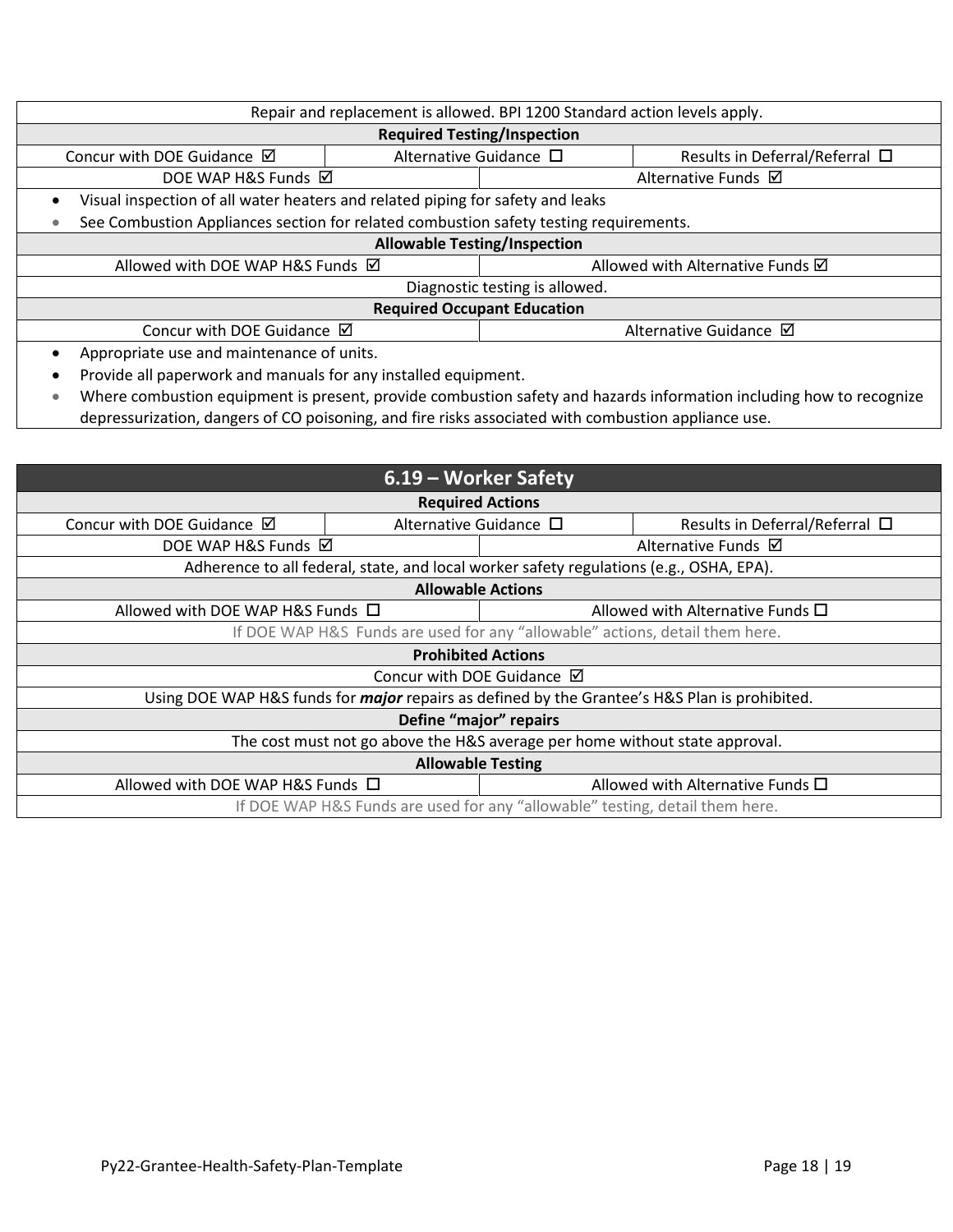| Repair and replacement is allowed. BPI 1200 Standard action levels apply.                   |                                                                                       |  |  |  |  |
|---------------------------------------------------------------------------------------------|---------------------------------------------------------------------------------------|--|--|--|--|
| <b>Required Testing/Inspection</b>                                                          |                                                                                       |  |  |  |  |
| Concur with DOE Guidance $\boxtimes$                                                        | Results in Deferral/Referral $\Box$<br>Alternative Guidance $\Box$                    |  |  |  |  |
| DOE WAP H&S Funds $\boxtimes$                                                               | Alternative Funds $\boxtimes$                                                         |  |  |  |  |
| Visual inspection of all water heaters and related piping for safety and leaks<br>$\bullet$ |                                                                                       |  |  |  |  |
| ۰                                                                                           | See Combustion Appliances section for related combustion safety testing requirements. |  |  |  |  |
| <b>Allowable Testing/Inspection</b>                                                         |                                                                                       |  |  |  |  |
| Allowed with DOE WAP H&S Funds ⊠<br>Allowed with Alternative Funds $\boxtimes$              |                                                                                       |  |  |  |  |
| Diagnostic testing is allowed.                                                              |                                                                                       |  |  |  |  |
| <b>Required Occupant Education</b>                                                          |                                                                                       |  |  |  |  |
| Concur with DOE Guidance $\boxtimes$<br>Alternative Guidance Ø                              |                                                                                       |  |  |  |  |
| Appropriate use and maintenance of units.                                                   |                                                                                       |  |  |  |  |
| Provide all paperwork and manuals for any installed equipment.<br>$\bullet$                 |                                                                                       |  |  |  |  |

• Where combustion equipment is present, provide combustion safety and hazards information including how to recognize depressurization, dangers of CO poisoning, and fire risks associated with combustion appliance use.

| 6.19 – Worker Safety                                                                                 |                                                                                   |                                                                                         |                                     |  |
|------------------------------------------------------------------------------------------------------|-----------------------------------------------------------------------------------|-----------------------------------------------------------------------------------------|-------------------------------------|--|
|                                                                                                      |                                                                                   | <b>Required Actions</b>                                                                 |                                     |  |
| Concur with DOE Guidance $\boxtimes$                                                                 |                                                                                   | Alternative Guidance $\Box$                                                             | Results in Deferral/Referral $\Box$ |  |
| DOE WAP H&S Funds ⊠                                                                                  |                                                                                   |                                                                                         | Alternative Funds $\boxtimes$       |  |
|                                                                                                      |                                                                                   | Adherence to all federal, state, and local worker safety regulations (e.g., OSHA, EPA). |                                     |  |
|                                                                                                      |                                                                                   | <b>Allowable Actions</b>                                                                |                                     |  |
|                                                                                                      | Allowed with DOE WAP H&S Funds $\Box$<br>Allowed with Alternative Funds $\square$ |                                                                                         |                                     |  |
|                                                                                                      |                                                                                   | If DOE WAP H&S Funds are used for any "allowable" actions, detail them here.            |                                     |  |
| <b>Prohibited Actions</b>                                                                            |                                                                                   |                                                                                         |                                     |  |
| Concur with DOE Guidance $\boxtimes$                                                                 |                                                                                   |                                                                                         |                                     |  |
| Using DOE WAP H&S funds for <i>major</i> repairs as defined by the Grantee's H&S Plan is prohibited. |                                                                                   |                                                                                         |                                     |  |
| Define "major" repairs                                                                               |                                                                                   |                                                                                         |                                     |  |
| The cost must not go above the H&S average per home without state approval.                          |                                                                                   |                                                                                         |                                     |  |
| <b>Allowable Testing</b>                                                                             |                                                                                   |                                                                                         |                                     |  |
| Allowed with DOE WAP H&S Funds □<br>Allowed with Alternative Funds $\square$                         |                                                                                   |                                                                                         |                                     |  |
| If DOE WAP H&S Funds are used for any "allowable" testing, detail them here.                         |                                                                                   |                                                                                         |                                     |  |